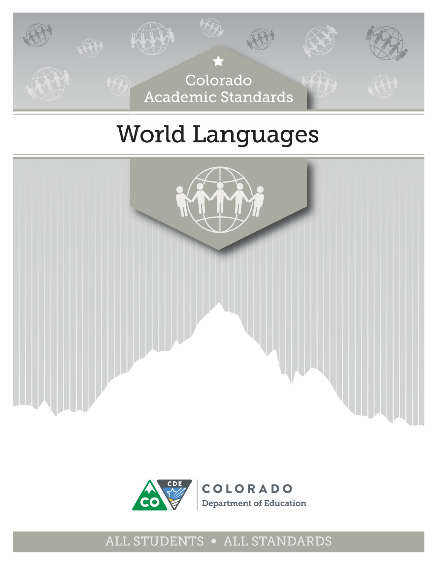

# **World Languages**





## ALL STUDENTS . ALL STANDARDS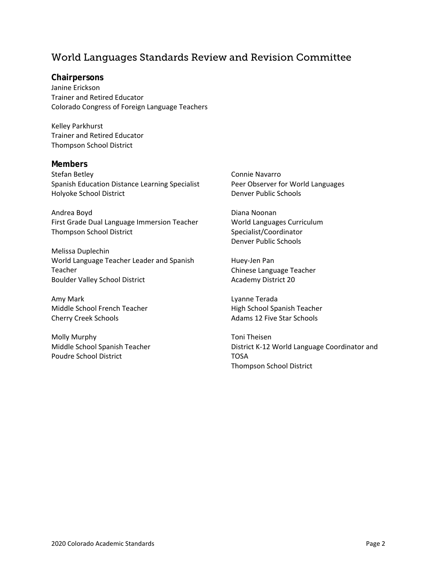#### World Languages Standards Review and Revision Committee

#### **Chairpersons**

Janine Erickson Trainer and Retired Educator Colorado Congress of Foreign Language Teachers

Kelley Parkhurst Trainer and Retired Educator Thompson School District

#### **Members**

Stefan Betley Spanish Education Distance Learning Specialist Holyoke School District

Andrea Boyd First Grade Dual Language Immersion Teacher Thompson School District

Melissa Duplechin World Language Teacher Leader and Spanish Teacher Boulder Valley School District

Amy Mark Middle School French Teacher Cherry Creek Schools

Molly Murphy Middle School Spanish Teacher Poudre School District

Connie Navarro Peer Observer for World Languages Denver Public Schools

Diana Noonan World Languages Curriculum Specialist/Coordinator Denver Public Schools

Huey-Jen Pan Chinese Language Teacher Academy District 20

Lyanne Terada High School Spanish Teacher Adams 12 Five Star Schools

Toni Theisen District K-12 World Language Coordinator and TOSA Thompson School District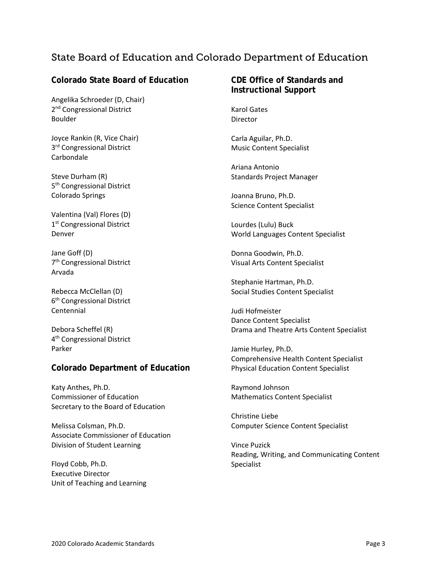#### State Board of Education and Colorado Department of Education

#### **Colorado State Board of Education**

Angelika Schroeder (D, Chair) 2<sup>nd</sup> Congressional District Boulder

Joyce Rankin (R, Vice Chair) 3<sup>rd</sup> Congressional District Carbondale

Steve Durham (R) 5<sup>th</sup> Congressional District Colorado Springs

Valentina (Val) Flores (D) 1<sup>st</sup> Congressional District Denver

Jane Goff (D) 7th Congressional District Arvada

Rebecca McClellan (D) 6th Congressional District Centennial

Debora Scheffel (R) 4th Congressional District Parker

#### **Colorado Department of Education**

Katy Anthes, Ph.D. Commissioner of Education Secretary to the Board of Education

Melissa Colsman, Ph.D. Associate Commissioner of Education Division of Student Learning

Floyd Cobb, Ph.D. Executive Director Unit of Teaching and Learning

#### **CDE Office of Standards and Instructional Support**

Karol Gates Director

Carla Aguilar, Ph.D. Music Content Specialist

Ariana Antonio Standards Project Manager

Joanna Bruno, Ph.D. Science Content Specialist

Lourdes (Lulu) Buck World Languages Content Specialist

Donna Goodwin, Ph.D. Visual Arts Content Specialist

Stephanie Hartman, Ph.D. Social Studies Content Specialist

Judi Hofmeister Dance Content Specialist Drama and Theatre Arts Content Specialist

Jamie Hurley, Ph.D. Comprehensive Health Content Specialist Physical Education Content Specialist

Raymond Johnson Mathematics Content Specialist

Christine Liebe Computer Science Content Specialist

Vince Puzick Reading, Writing, and Communicating Content Specialist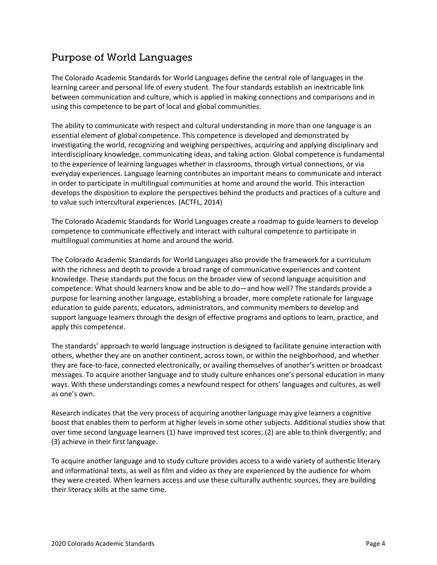### Purpose of World Languages

The Colorado Academic Standards for World Languages define the central role of languages in the learning career and personal life of every student. The four standards establish an inextricable link between communication and culture, which is applied in making connections and comparisons and in using this competence to be part of local and global communities.

The ability to communicate with respect and cultural understanding in more than one language is an essential element of global competence. This competence is developed and demonstrated by investigating the world, recognizing and weighing perspectives, acquiring and applying disciplinary and interdisciplinary knowledge, communicating ideas, and taking action. Global competence is fundamental to the experience of learning languages whether in classrooms, through virtual connections, or via everyday experiences. Language learning contributes an important means to communicate and interact in order to participate in multilingual communities at home and around the world. This interaction develops the disposition to explore the perspectives behind the products and practices of a culture and to value such intercultural experiences. (ACTFL, 2014)

The Colorado Academic Standards for World Languages create a roadmap to guide learners to develop competence to communicate effectively and interact with cultural competence to participate in multilingual communities at home and around the world.

The Colorado Academic Standards for World Languages also provide the framework for a curriculum with the richness and depth to provide a broad range of communicative experiences and content knowledge. These standards put the focus on the broader view of second language acquisition and competence: What should learners know and be able to do—and how well? The standards provide a purpose for learning another language, establishing a broader, more complete rationale for language education to guide parents, educators, administrators, and community members to develop and support language learners through the design of effective programs and options to learn, practice, and apply this competence.

The standards' approach to world language instruction is designed to facilitate genuine interaction with others, whether they are on another continent, across town, or within the neighborhood, and whether they are face-to-face, connected electronically, or availing themselves of another's written or broadcast messages. To acquire another language and to study culture enhances one's personal education in many ways. With these understandings comes a newfound respect for others' languages and cultures, as well as one's own.

Research indicates that the very process of acquiring another language may give learners a cognitive boost that enables them to perform at higher levels in some other subjects. Additional studies show that over time second language learners (1) have improved test scores; (2) are able to think divergently; and (3) achieve in their first language.

To acquire another language and to study culture provides access to a wide variety of authentic literary and informational texts, as well as film and video as they are experienced by the audience for whom they were created. When learners access and use these culturally authentic sources, they are building their literacy skills at the same time.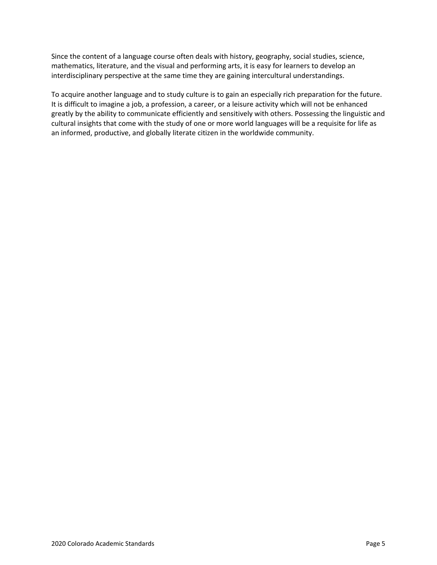Since the content of a language course often deals with history, geography, social studies, science, mathematics, literature, and the visual and performing arts, it is easy for learners to develop an interdisciplinary perspective at the same time they are gaining intercultural understandings.

To acquire another language and to study culture is to gain an especially rich preparation for the future. It is difficult to imagine a job, a profession, a career, or a leisure activity which will not be enhanced greatly by the ability to communicate efficiently and sensitively with others. Possessing the linguistic and cultural insights that come with the study of one or more world languages will be a requisite for life as an informed, productive, and globally literate citizen in the worldwide community.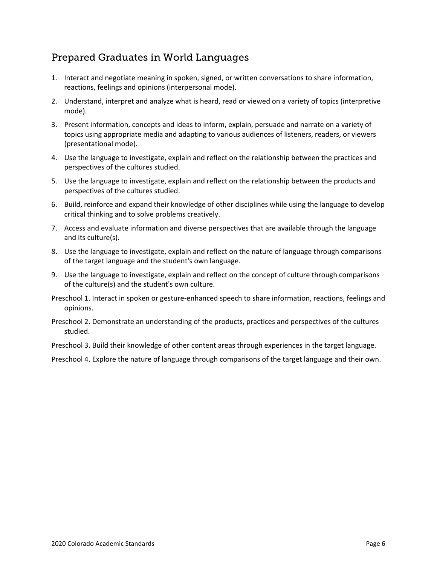#### Prepared Graduates in World Languages

- 1. Interact and negotiate meaning in spoken, signed, or written conversations to share information, reactions, feelings and opinions (interpersonal mode).
- 2. Understand, interpret and analyze what is heard, read or viewed on a variety of topics (interpretive mode).
- 3. Present information, concepts and ideas to inform, explain, persuade and narrate on a variety of topics using appropriate media and adapting to various audiences of listeners, readers, or viewers (presentational mode).
- 4. Use the language to investigate, explain and reflect on the relationship between the practices and perspectives of the cultures studied.
- 5. Use the language to investigate, explain and reflect on the relationship between the products and perspectives of the cultures studied.
- 6. Build, reinforce and expand their knowledge of other disciplines while using the language to develop critical thinking and to solve problems creatively.
- 7. Access and evaluate information and diverse perspectives that are available through the language and its culture(s).
- 8. Use the language to investigate, explain and reflect on the nature of language through comparisons of the target language and the student's own language.
- 9. Use the language to investigate, explain and reflect on the concept of culture through comparisons of the culture(s) and the student's own culture.
- Preschool 1. Interact in spoken or gesture-enhanced speech to share information, reactions, feelings and opinions.
- Preschool 2. Demonstrate an understanding of the products, practices and perspectives of the cultures studied.

Preschool 3. Build their knowledge of other content areas through experiences in the target language.

Preschool 4. Explore the nature of language through comparisons of the target language and their own.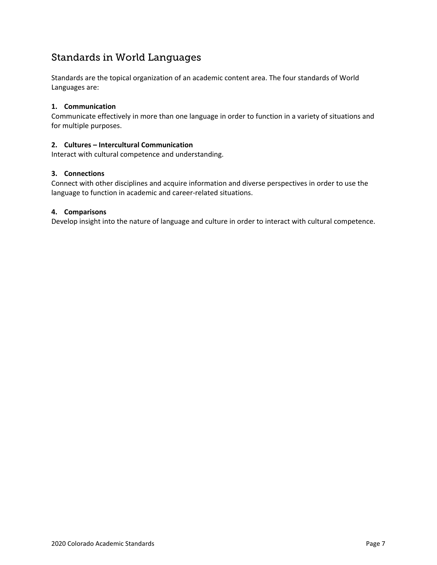#### Standards in World Languages

Standards are the topical organization of an academic content area. The four standards of World Languages are:

#### **1. Communication**

Communicate effectively in more than one language in order to function in a variety of situations and for multiple purposes.

#### **2. Cultures – Intercultural Communication**

Interact with cultural competence and understanding.

#### **3. Connections**

Connect with other disciplines and acquire information and diverse perspectives in order to use the language to function in academic and career-related situations.

#### **4. Comparisons**

Develop insight into the nature of language and culture in order to interact with cultural competence.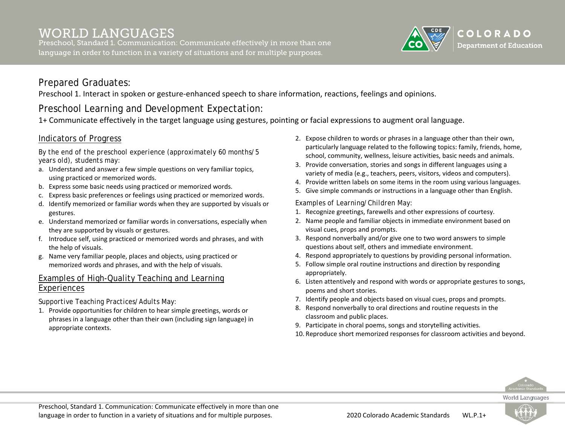Preschool, Standard 1. Communication: Communicate effectively in more than one language in order to function in a variety of situations and for multiple purposes.



### Prepared Graduates:

Preschool 1. Interact in spoken or gesture-enhanced speech to share information, reactions, feelings and opinions.

## Preschool Learning and Development Expectation:

1+ Communicate effectively in the target language using gestures, pointing or facial expressions to augment oral language.

#### Indicators of Progress

*By the end of the preschool experience (approximately 60 months/5 years old), students may:*

- a. Understand and answer a few simple questions on very familiar topics, using practiced or memorized words.
- b. Express some basic needs using practiced or memorized words.
- c. Express basic preferences or feelings using practiced or memorized words.
- d. Identify memorized or familiar words when they are supported by visuals or gestures.
- e. Understand memorized or familiar words in conversations, especially when they are supported by visuals or gestures.
- f. Introduce self, using practiced or memorized words and phrases, and with the help of visuals.
- g. Name very familiar people, places and objects, using practiced or memorized words and phrases, and with the help of visuals.

#### Examples of High-Quality Teaching and Learning Experiences

#### *Supportive Teaching Practices/Adults May:*

1. Provide opportunities for children to hear simple greetings, words or phrases in a language other than their own (including sign language) in appropriate contexts.

- 2. Expose children to words or phrases in a language other than their own, particularly language related to the following topics: family, friends, home, school, community, wellness, leisure activities, basic needs and animals.
- 3. Provide conversation, stories and songs in different languages using a variety of media (e.g., teachers, peers, visitors, videos and computers).
- 4. Provide written labels on some items in the room using various languages.
- 5. Give simple commands or instructions in a language other than English.

#### *Examples of Learning/Children May:*

- 1. Recognize greetings, farewells and other expressions of courtesy.
- 2. Name people and familiar objects in immediate environment based on visual cues, props and prompts.
- 3. Respond nonverbally and/or give one to two word answers to simple questions about self, others and immediate environment.
- 4. Respond appropriately to questions by providing personal information.
- 5. Follow simple oral routine instructions and direction by responding appropriately.
- 6. Listen attentively and respond with words or appropriate gestures to songs, poems and short stories.
- 7. Identify people and objects based on visual cues, props and prompts.
- 8. Respond nonverbally to oral directions and routine requests in the classroom and public places.
- 9. Participate in choral poems, songs and storytelling activities.
- 10. Reproduce short memorized responses for classroom activities and beyond.



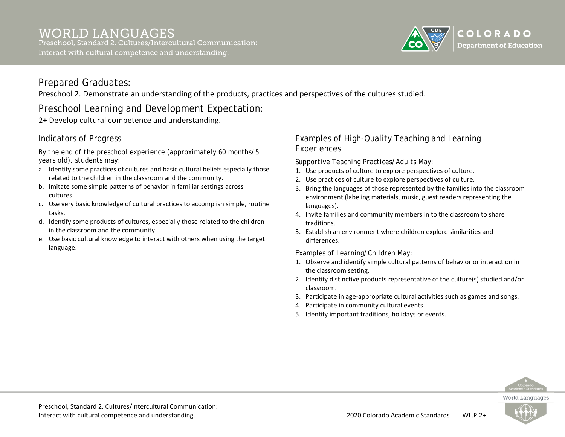

Preschool 2. Demonstrate an understanding of the products, practices and perspectives of the cultures studied.

## Preschool Learning and Development Expectation:

2+ Develop cultural competence and understanding.

#### Indicators of Progress

*By the end of the preschool experience (approximately 60 months/5 years old), students may:*

- a. Identify some practices of cultures and basic cultural beliefs especially those related to the children in the classroom and the community.
- b. Imitate some simple patterns of behavior in familiar settings across cultures.
- c. Use very basic knowledge of cultural practices to accomplish simple, routine tasks.
- d. Identify some products of cultures, especially those related to the children in the classroom and the community.
- e. Use basic cultural knowledge to interact with others when using the target language.

#### Examples of High-Quality Teaching and Learning Experiences

*Supportive Teaching Practices/Adults May:*

- 1. Use products of culture to explore perspectives of culture.
- 2. Use practices of culture to explore perspectives of culture.
- 3. Bring the languages of those represented by the families into the classroom environment (labeling materials, music, guest readers representing the languages).
- 4. Invite families and community members in to the classroom to share traditions.
- 5. Establish an environment where children explore similarities and differences.

#### *Examples of Learning/Children May:*

- 1. Observe and identify simple cultural patterns of behavior or interaction in the classroom setting.
- 2. Identify distinctive products representative of the culture(s) studied and/or classroom.
- 3. Participate in age-appropriate cultural activities such as games and songs.
- 4. Participate in community cultural events.
- 5. Identify important traditions, holidays or events.



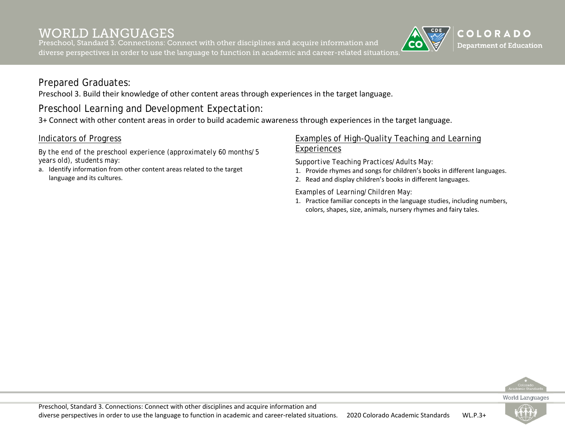Preschool, Standard 3. Connections: Connect with other disciplines and acquire information and diverse perspectives in order to use the language to function in academic and career-related situations.



#### Prepared Graduates:

Preschool 3. Build their knowledge of other content areas through experiences in the target language.

## Preschool Learning and Development Expectation:

3+ Connect with other content areas in order to build academic awareness through experiences in the target language.

#### Indicators of Progress

*By the end of the preschool experience (approximately 60 months/5 years old), students may:*

a. Identify information from other content areas related to the target language and its cultures.

#### Examples of High-Quality Teaching and Learning Experiences

*Supportive Teaching Practices/Adults May:*

- 1. Provide rhymes and songs for children's books in different languages.
- 2. Read and display children's books in different languages.

*Examples of Learning/Children May:*

1. Practice familiar concepts in the language studies, including numbers, colors, shapes, size, animals, nursery rhymes and fairy tales.



**World Languages** 

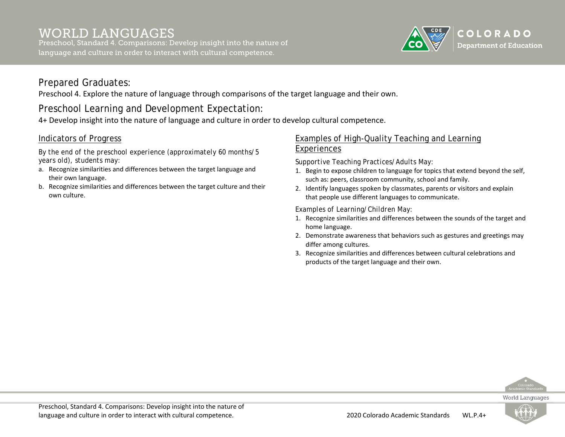Preschool, Standard 4. Comparisons: Develop insight into the nature of language and culture in order to interact with cultural competence.



#### Prepared Graduates:

Preschool 4. Explore the nature of language through comparisons of the target language and their own.

## Preschool Learning and Development Expectation:

4+ Develop insight into the nature of language and culture in order to develop cultural competence.

#### Indicators of Progress

*By the end of the preschool experience (approximately 60 months/5 years old), students may:*

- a. Recognize similarities and differences between the target language and their own language.
- b. Recognize similarities and differences between the target culture and their own culture.

#### Examples of High-Quality Teaching and Learning Experiences

*Supportive Teaching Practices/Adults May:*

- 1. Begin to expose children to language for topics that extend beyond the self, such as: peers, classroom community, school and family.
- 2. Identify languages spoken by classmates, parents or visitors and explain that people use different languages to communicate.

#### *Examples of Learning/Children May:*

- 1. Recognize similarities and differences between the sounds of the target and home language.
- 2. Demonstrate awareness that behaviors such as gestures and greetings may differ among cultures.
- 3. Recognize similarities and differences between cultural celebrations and products of the target language and their own.



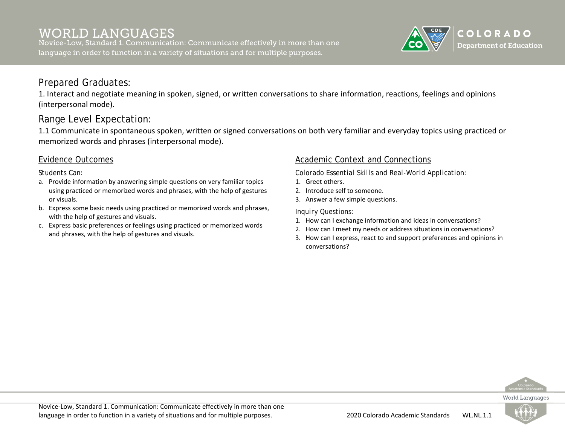Novice-Low, Standard 1. Communication: Communicate effectively in more than one language in order to function in a variety of situations and for multiple purposes.



#### Prepared Graduates:

1. Interact and negotiate meaning in spoken, signed, or written conversations to share information, reactions, feelings and opinions (interpersonal mode).

### Range Level Expectation:

1.1 Communicate in spontaneous spoken, written or signed conversations on both very familiar and everyday topics using practiced or memorized words and phrases (interpersonal mode).

#### Evidence Outcomes

*Students Can:*

- a. Provide information by answering simple questions on very familiar topics using practiced or memorized words and phrases, with the help of gestures or visuals.
- b. Express some basic needs using practiced or memorized words and phrases, with the help of gestures and visuals.
- c. Express basic preferences or feelings using practiced or memorized words and phrases, with the help of gestures and visuals.

#### Academic Context and Connections

*Colorado Essential Skills and Real-World Application:*

- 1. Greet others.
- 2. Introduce self to someone.
- 3. Answer a few simple questions.

- 1. How can I exchange information and ideas in conversations?
- 2. How can I meet my needs or address situations in conversations?
- 3. How can I express, react to and support preferences and opinions in conversations?



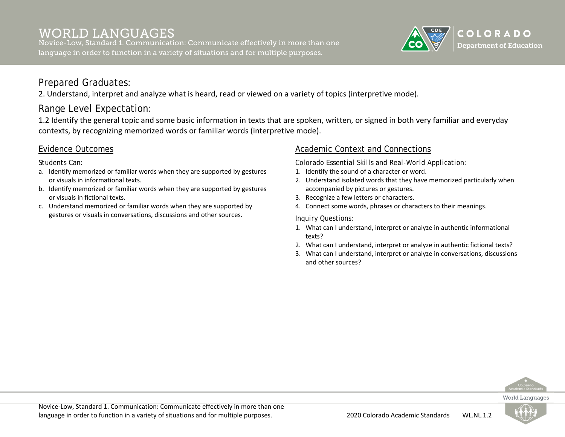Novice-Low, Standard 1. Communication: Communicate effectively in more than one language in order to function in a variety of situations and for multiple purposes.



### Prepared Graduates:

2. Understand, interpret and analyze what is heard, read or viewed on a variety of topics (interpretive mode).

## Range Level Expectation:

1.2 Identify the general topic and some basic information in texts that are spoken, written, or signed in both very familiar and everyday contexts, by recognizing memorized words or familiar words (interpretive mode).

#### Evidence Outcomes

*Students Can:*

- a. Identify memorized or familiar words when they are supported by gestures or visuals in informational texts.
- b. Identify memorized or familiar words when they are supported by gestures or visuals in fictional texts.
- c. Understand memorized or familiar words when they are supported by gestures or visuals in conversations, discussions and other sources.

#### Academic Context and Connections

*Colorado Essential Skills and Real-World Application:*

- 1. Identify the sound of a character or word.
- 2. Understand isolated words that they have memorized particularly when accompanied by pictures or gestures.
- 3. Recognize a few letters or characters.
- 4. Connect some words, phrases or characters to their meanings.

- 1. What can I understand, interpret or analyze in authentic informational texts?
- 2. What can I understand, interpret or analyze in authentic fictional texts?
- 3. What can I understand, interpret or analyze in conversations, discussions and other sources?



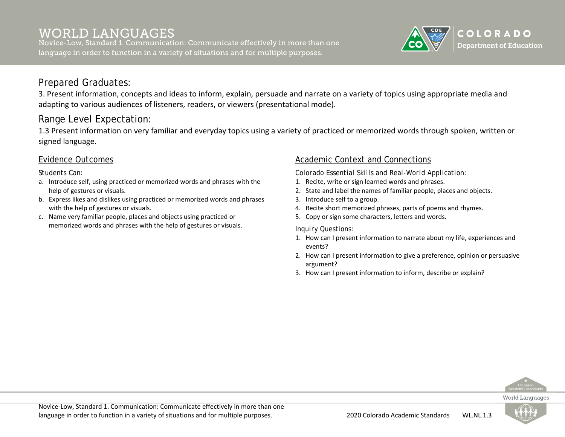Novice-Low, Standard 1. Communication: Communicate effectively in more than one language in order to function in a variety of situations and for multiple purposes.



### Prepared Graduates:

3. Present information, concepts and ideas to inform, explain, persuade and narrate on a variety of topics using appropriate media and adapting to various audiences of listeners, readers, or viewers (presentational mode).

## Range Level Expectation:

1.3 Present information on very familiar and everyday topics using a variety of practiced or memorized words through spoken, written or signed language.

#### Evidence Outcomes

*Students Can:*

- a. Introduce self, using practiced or memorized words and phrases with the help of gestures or visuals.
- b. Express likes and dislikes using practiced or memorized words and phrases with the help of gestures or visuals.
- c. Name very familiar people, places and objects using practiced or memorized words and phrases with the help of gestures or visuals.

#### Academic Context and Connections

*Colorado Essential Skills and Real-World Application:*

- 1. Recite, write or sign learned words and phrases.
- 2. State and label the names of familiar people, places and objects.
- 3. Introduce self to a group.
- 4. Recite short memorized phrases, parts of poems and rhymes.
- 5. Copy or sign some characters, letters and words.

*Inquiry Questions:*

- 1. How can I present information to narrate about my life, experiences and events?
- 2. How can I present information to give a preference, opinion or persuasive argument?
- 3. How can I present information to inform, describe or explain?



World Languages

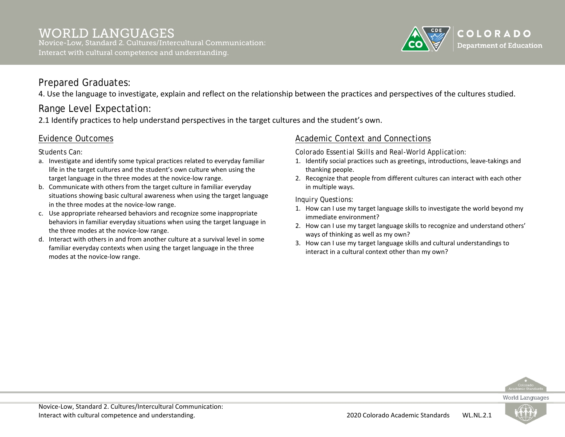

4. Use the language to investigate, explain and reflect on the relationship between the practices and perspectives of the cultures studied.

## Range Level Expectation:

2.1 Identify practices to help understand perspectives in the target cultures and the student's own.

#### Evidence Outcomes

*Students Can:*

- a. Investigate and identify some typical practices related to everyday familiar life in the target cultures and the student's own culture when using the target language in the three modes at the novice-low range.
- b. Communicate with others from the target culture in familiar everyday situations showing basic cultural awareness when using the target language in the three modes at the novice-low range.
- c. Use appropriate rehearsed behaviors and recognize some inappropriate behaviors in familiar everyday situations when using the target language in the three modes at the novice-low range.
- d. Interact with others in and from another culture at a survival level in some familiar everyday contexts when using the target language in the three modes at the novice-low range.

#### Academic Context and Connections

*Colorado Essential Skills and Real-World Application:*

- 1. Identify social practices such as greetings, introductions, leave-takings and thanking people.
- 2. Recognize that people from different cultures can interact with each other in multiple ways.

- 1. How can I use my target language skills to investigate the world beyond my immediate environment?
- 2. How can I use my target language skills to recognize and understand others' ways of thinking as well as my own?
- 3. How can I use my target language skills and cultural understandings to interact in a cultural context other than my own?



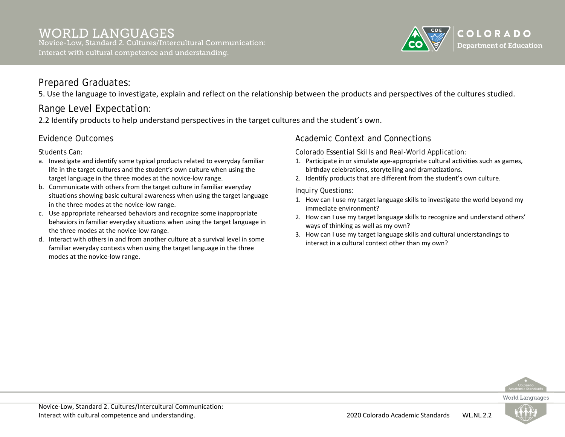

5. Use the language to investigate, explain and reflect on the relationship between the products and perspectives of the cultures studied.

## Range Level Expectation:

2.2 Identify products to help understand perspectives in the target cultures and the student's own.

#### Evidence Outcomes

*Students Can:*

- a. Investigate and identify some typical products related to everyday familiar life in the target cultures and the student's own culture when using the target language in the three modes at the novice-low range.
- b. Communicate with others from the target culture in familiar everyday situations showing basic cultural awareness when using the target language in the three modes at the novice-low range.
- c. Use appropriate rehearsed behaviors and recognize some inappropriate behaviors in familiar everyday situations when using the target language in the three modes at the novice-low range.
- d. Interact with others in and from another culture at a survival level in some familiar everyday contexts when using the target language in the three modes at the novice-low range.

#### Academic Context and Connections

*Colorado Essential Skills and Real-World Application:*

- 1. Participate in or simulate age-appropriate cultural activities such as games, birthday celebrations, storytelling and dramatizations.
- 2. Identify products that are different from the student's own culture.

- 1. How can I use my target language skills to investigate the world beyond my immediate environment?
- 2. How can I use my target language skills to recognize and understand others' ways of thinking as well as my own?
- 3. How can I use my target language skills and cultural understandings to interact in a cultural context other than my own?



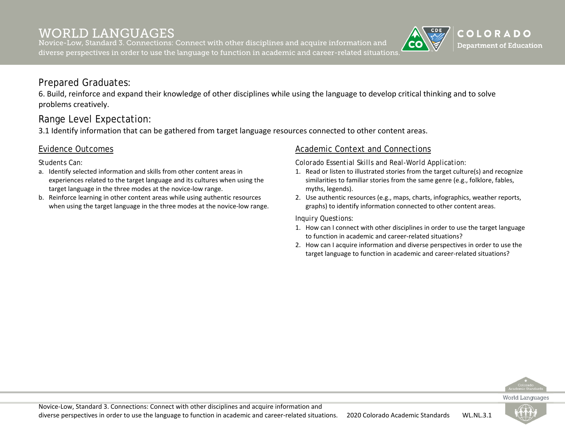Novice-Low, Standard 3. Connections: Connect with other disciplines and acquire information and diverse perspectives in order to use the language to function in academic and career-related situations.

### Prepared Graduates:

6. Build, reinforce and expand their knowledge of other disciplines while using the language to develop critical thinking and to solve problems creatively.

### Range Level Expectation:

3.1 Identify information that can be gathered from target language resources connected to other content areas.

#### Evidence Outcomes

*Students Can:*

- a. Identify selected information and skills from other content areas in experiences related to the target language and its cultures when using the target language in the three modes at the novice-low range.
- b. Reinforce learning in other content areas while using authentic resources when using the target language in the three modes at the novice-low range.

#### Academic Context and Connections

*Colorado Essential Skills and Real-World Application:*

- 1. Read or listen to illustrated stories from the target culture(s) and recognize similarities to familiar stories from the same genre (e.g., folklore, fables, myths, legends).
- 2. Use authentic resources (e.g., maps, charts, infographics, weather reports, graphs) to identify information connected to other content areas.

- 1. How can I connect with other disciplines in order to use the target language to function in academic and career-related situations?
- 2. How can I acquire information and diverse perspectives in order to use the target language to function in academic and career-related situations?





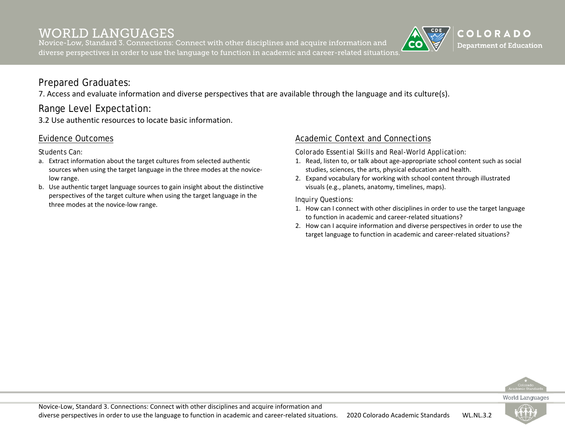Novice-Low, Standard 3. Connections: Connect with other disciplines and acquire information and diverse perspectives in order to use the language to function in academic and career-related situations.

## COLORADO **Department of Education**

### Prepared Graduates:

7. Access and evaluate information and diverse perspectives that are available through the language and its culture(s).

### Range Level Expectation:

3.2 Use authentic resources to locate basic information.

#### Evidence Outcomes

*Students Can:*

- a. Extract information about the target cultures from selected authentic sources when using the target language in the three modes at the novicelow range.
- b. Use authentic target language sources to gain insight about the distinctive perspectives of the target culture when using the target language in the three modes at the novice-low range.

#### Academic Context and Connections

*Colorado Essential Skills and Real-World Application:*

- 1. Read, listen to, or talk about age-appropriate school content such as social studies, sciences, the arts, physical education and health.
- 2. Expand vocabulary for working with school content through illustrated visuals (e.g., planets, anatomy, timelines, maps).

- 1. How can I connect with other disciplines in order to use the target language to function in academic and career-related situations?
- 2. How can I acquire information and diverse perspectives in order to use the target language to function in academic and career-related situations?



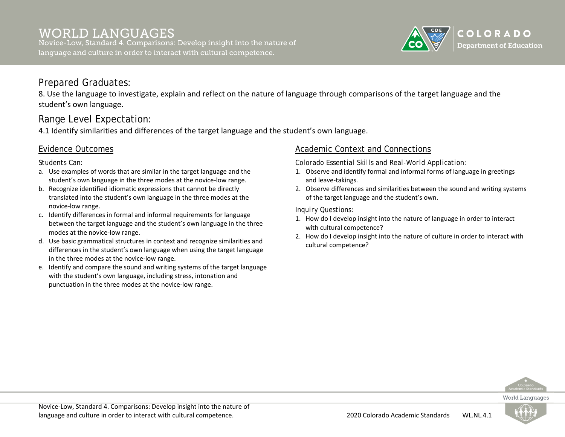Novice-Low, Standard 4. Comparisons: Develop insight into the nature of language and culture in order to interact with cultural competence.



#### Prepared Graduates:

8. Use the language to investigate, explain and reflect on the nature of language through comparisons of the target language and the student's own language.

### Range Level Expectation:

4.1 Identify similarities and differences of the target language and the student's own language.

#### Evidence Outcomes

*Students Can:*

- a. Use examples of words that are similar in the target language and the student's own language in the three modes at the novice-low range.
- b. Recognize identified idiomatic expressions that cannot be directly translated into the student's own language in the three modes at the novice-low range.
- c. Identify differences in formal and informal requirements for language between the target language and the student's own language in the three modes at the novice-low range.
- d. Use basic grammatical structures in context and recognize similarities and differences in the student's own language when using the target language in the three modes at the novice-low range.
- e. Identify and compare the sound and writing systems of the target language with the student's own language, including stress, intonation and punctuation in the three modes at the novice-low range.

#### Academic Context and Connections

*Colorado Essential Skills and Real-World Application:*

- 1. Observe and identify formal and informal forms of language in greetings and leave-takings.
- 2. Observe differences and similarities between the sound and writing systems of the target language and the student's own.

- 1. How do I develop insight into the nature of language in order to interact with cultural competence?
- 2. How do I develop insight into the nature of culture in order to interact with cultural competence?



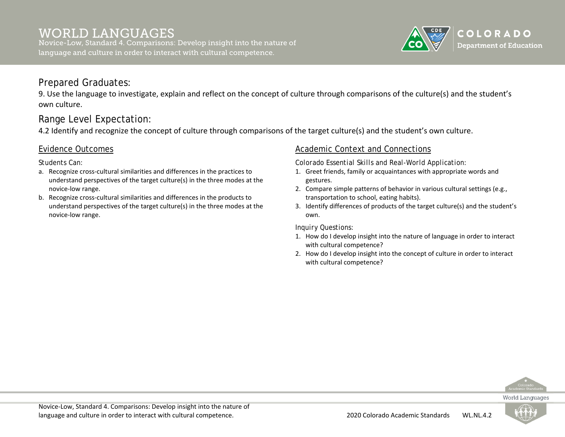

9. Use the language to investigate, explain and reflect on the concept of culture through comparisons of the culture(s) and the student's own culture.

## Range Level Expectation:

4.2 Identify and recognize the concept of culture through comparisons of the target culture(s) and the student's own culture.

#### Evidence Outcomes

*Students Can:*

- a. Recognize cross-cultural similarities and differences in the practices to understand perspectives of the target culture(s) in the three modes at the novice-low range.
- b. Recognize cross-cultural similarities and differences in the products to understand perspectives of the target culture(s) in the three modes at the novice-low range.

#### Academic Context and Connections

*Colorado Essential Skills and Real-World Application:*

- 1. Greet friends, family or acquaintances with appropriate words and gestures.
- 2. Compare simple patterns of behavior in various cultural settings (e.g., transportation to school, eating habits).
- 3. Identify differences of products of the target culture(s) and the student's own.

- 1. How do I develop insight into the nature of language in order to interact with cultural competence?
- 2. How do I develop insight into the concept of culture in order to interact with cultural competence?



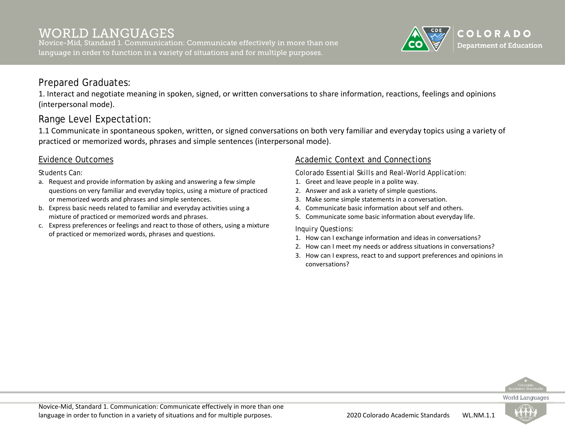Novice-Mid, Standard 1. Communication: Communicate effectively in more than one language in order to function in a variety of situations and for multiple purposes.



#### Prepared Graduates:

1. Interact and negotiate meaning in spoken, signed, or written conversations to share information, reactions, feelings and opinions (interpersonal mode).

### Range Level Expectation:

1.1 Communicate in spontaneous spoken, written, or signed conversations on both very familiar and everyday topics using a variety of practiced or memorized words, phrases and simple sentences (interpersonal mode).

#### Evidence Outcomes

#### *Students Can:*

- a. Request and provide information by asking and answering a few simple questions on very familiar and everyday topics, using a mixture of practiced or memorized words and phrases and simple sentences.
- b. Express basic needs related to familiar and everyday activities using a mixture of practiced or memorized words and phrases.
- c. Express preferences or feelings and react to those of others, using a mixture of practiced or memorized words, phrases and questions.

#### Academic Context and Connections

*Colorado Essential Skills and Real-World Application:*

- 1. Greet and leave people in a polite way.
- 2. Answer and ask a variety of simple questions.
- 3. Make some simple statements in a conversation.
- 4. Communicate basic information about self and others.
- 5. Communicate some basic information about everyday life.

- 1. How can I exchange information and ideas in conversations?
- 2. How can I meet my needs or address situations in conversations?
- 3. How can I express, react to and support preferences and opinions in conversations?



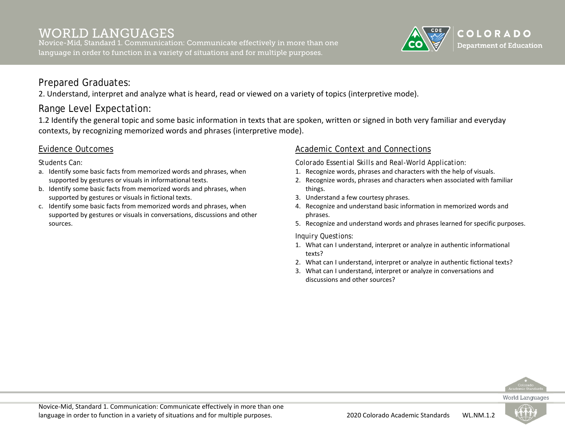Novice-Mid, Standard 1. Communication: Communicate effectively in more than one language in order to function in a variety of situations and for multiple purposes.



### Prepared Graduates:

2. Understand, interpret and analyze what is heard, read or viewed on a variety of topics (interpretive mode).

## Range Level Expectation:

1.2 Identify the general topic and some basic information in texts that are spoken, written or signed in both very familiar and everyday contexts, by recognizing memorized words and phrases (interpretive mode).

#### Evidence Outcomes

*Students Can:*

- a. Identify some basic facts from memorized words and phrases, when supported by gestures or visuals in informational texts.
- b. Identify some basic facts from memorized words and phrases, when supported by gestures or visuals in fictional texts.
- c. Identify some basic facts from memorized words and phrases, when supported by gestures or visuals in conversations, discussions and other sources.

#### Academic Context and Connections

*Colorado Essential Skills and Real-World Application:*

- 1. Recognize words, phrases and characters with the help of visuals.
- 2. Recognize words, phrases and characters when associated with familiar things.
- 3. Understand a few courtesy phrases.
- 4. Recognize and understand basic information in memorized words and phrases.
- 5. Recognize and understand words and phrases learned for specific purposes.

- 1. What can I understand, interpret or analyze in authentic informational texts?
- 2. What can I understand, interpret or analyze in authentic fictional texts?
- 3. What can I understand, interpret or analyze in conversations and discussions and other sources?



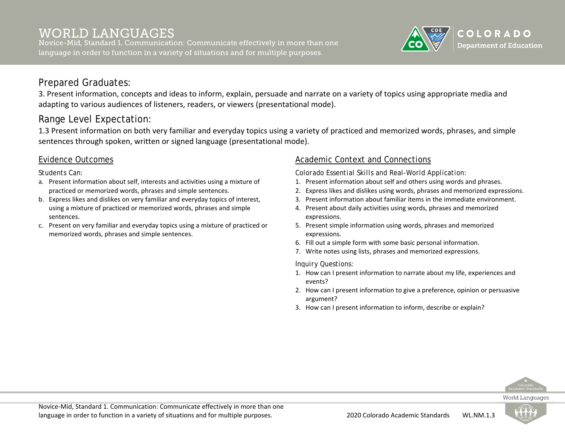Novice-Mid, Standard 1. Communication: Communicate effectively in more than one language in order to function in a variety of situations and for multiple purposes.



### Prepared Graduates:

3. Present information, concepts and ideas to inform, explain, persuade and narrate on a variety of topics using appropriate media and adapting to various audiences of listeners, readers, or viewers (presentational mode).

## Range Level Expectation:

1.3 Present information on both very familiar and everyday topics using a variety of practiced and memorized words, phrases, and simple sentences through spoken, written or signed language (presentational mode).

#### Evidence Outcomes

*Students Can:*

- a. Present information about self, interests and activities using a mixture of practiced or memorized words, phrases and simple sentences.
- b. Express likes and dislikes on very familiar and everyday topics of interest, using a mixture of practiced or memorized words, phrases and simple sentences.
- c. Present on very familiar and everyday topics using a mixture of practiced or memorized words, phrases and simple sentences.

#### Academic Context and Connections

*Colorado Essential Skills and Real-World Application:*

- 1. Present information about self and others using words and phrases.
- 2. Express likes and dislikes using words, phrases and memorized expressions.
- 3. Present information about familiar items in the immediate environment.
- 4. Present about daily activities using words, phrases and memorized expressions.
- 5. Present simple information using words, phrases and memorized expressions.
- 6. Fill out a simple form with some basic personal information.
- 7. Write notes using lists, phrases and memorized expressions.

- 1. How can I present information to narrate about my life, experiences and events?
- 2. How can I present information to give a preference, opinion or persuasive argument?
- 3. How can I present information to inform, describe or explain?



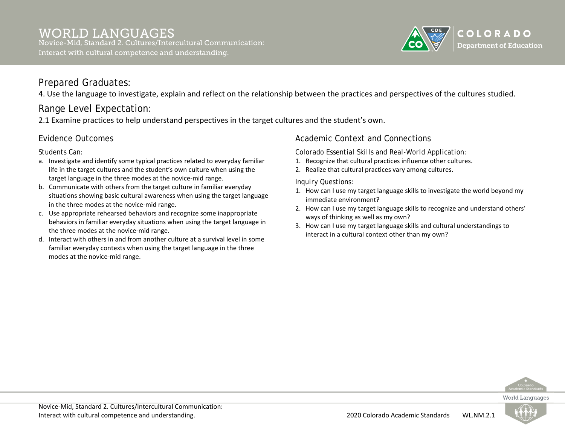

4. Use the language to investigate, explain and reflect on the relationship between the practices and perspectives of the cultures studied.

## Range Level Expectation:

2.1 Examine practices to help understand perspectives in the target cultures and the student's own.

### Evidence Outcomes

*Students Can:*

- a. Investigate and identify some typical practices related to everyday familiar life in the target cultures and the student's own culture when using the target language in the three modes at the novice-mid range.
- b. Communicate with others from the target culture in familiar everyday situations showing basic cultural awareness when using the target language in the three modes at the novice-mid range.
- c. Use appropriate rehearsed behaviors and recognize some inappropriate behaviors in familiar everyday situations when using the target language in the three modes at the novice-mid range.
- d. Interact with others in and from another culture at a survival level in some familiar everyday contexts when using the target language in the three modes at the novice-mid range.

#### Academic Context and Connections

*Colorado Essential Skills and Real-World Application:*

- 1. Recognize that cultural practices influence other cultures.
- 2. Realize that cultural practices vary among cultures.

- 1. How can I use my target language skills to investigate the world beyond my immediate environment?
- 2. How can I use my target language skills to recognize and understand others' ways of thinking as well as my own?
- 3. How can I use my target language skills and cultural understandings to interact in a cultural context other than my own?



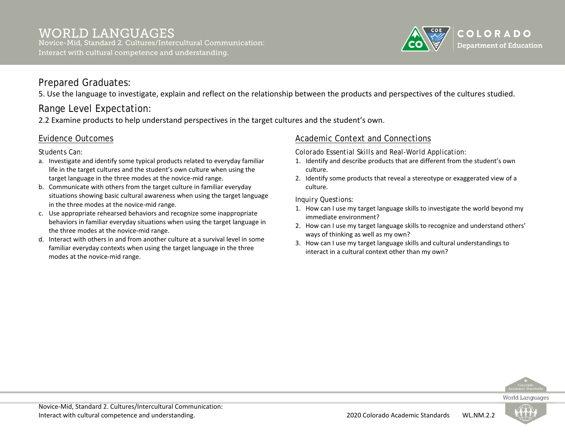

5. Use the language to investigate, explain and reflect on the relationship between the products and perspectives of the cultures studied.

## Range Level Expectation:

2.2 Examine products to help understand perspectives in the target cultures and the student's own.

### Evidence Outcomes

*Students Can:*

- a. Investigate and identify some typical products related to everyday familiar life in the target cultures and the student's own culture when using the target language in the three modes at the novice-mid range.
- b. Communicate with others from the target culture in familiar everyday situations showing basic cultural awareness when using the target language in the three modes at the novice-mid range.
- c. Use appropriate rehearsed behaviors and recognize some inappropriate behaviors in familiar everyday situations when using the target language in the three modes at the novice-mid range.
- d. Interact with others in and from another culture at a survival level in some familiar everyday contexts when using the target language in the three modes at the novice-mid range.

#### Academic Context and Connections

*Colorado Essential Skills and Real-World Application:*

- 1. Identify and describe products that are different from the student's own culture.
- 2. Identify some products that reveal a stereotype or exaggerated view of a culture.

- 1. How can I use my target language skills to investigate the world beyond my immediate environment?
- 2. How can I use my target language skills to recognize and understand others' ways of thinking as well as my own?
- 3. How can I use my target language skills and cultural understandings to interact in a cultural context other than my own?



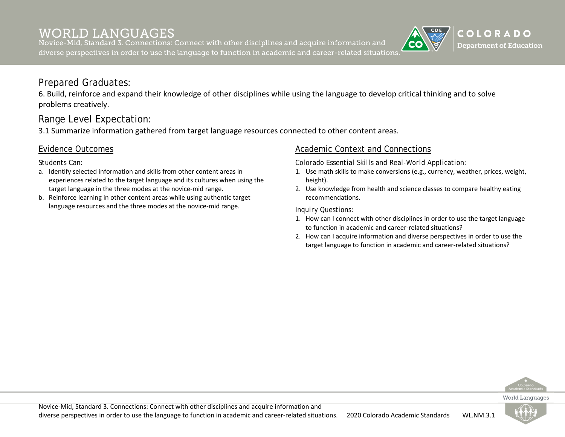Novice-Mid, Standard 3. Connections: Connect with other disciplines and acquire information and diverse perspectives in order to use the language to function in academic and career-related situations.

### Prepared Graduates:

6. Build, reinforce and expand their knowledge of other disciplines while using the language to develop critical thinking and to solve problems creatively.

### Range Level Expectation:

3.1 Summarize information gathered from target language resources connected to other content areas.

#### Evidence Outcomes

*Students Can:*

- a. Identify selected information and skills from other content areas in experiences related to the target language and its cultures when using the target language in the three modes at the novice-mid range.
- b. Reinforce learning in other content areas while using authentic target language resources and the three modes at the novice-mid range.

#### Academic Context and Connections

*Colorado Essential Skills and Real-World Application:*

- 1. Use math skills to make conversions (e.g., currency, weather, prices, weight, height).
- 2. Use knowledge from health and science classes to compare healthy eating recommendations.

*Inquiry Questions:*

- 1. How can I connect with other disciplines in order to use the target language to function in academic and career-related situations?
- 2. How can I acquire information and diverse perspectives in order to use the target language to function in academic and career-related situations?



COLORADO **Department of Education** 

World Languages



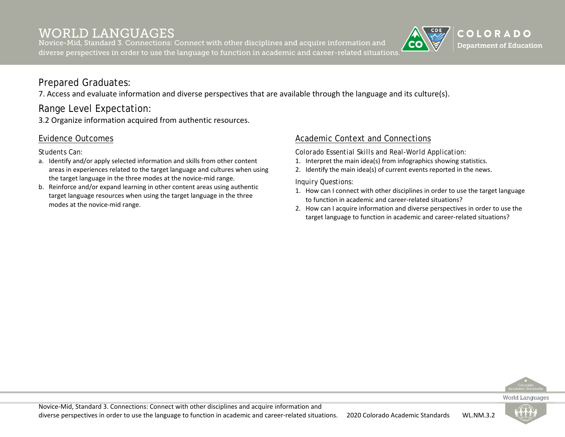Novice-Mid, Standard 3. Connections: Connect with other disciplines and acquire information and diverse perspectives in order to use the language to function in academic and career-related situations.

## COLORADO **Department of Education**

### Prepared Graduates:

7. Access and evaluate information and diverse perspectives that are available through the language and its culture(s).

### Range Level Expectation:

3.2 Organize information acquired from authentic resources.

#### Evidence Outcomes

*Students Can:*

- a. Identify and/or apply selected information and skills from other content areas in experiences related to the target language and cultures when using the target language in the three modes at the novice-mid range.
- b. Reinforce and/or expand learning in other content areas using authentic target language resources when using the target language in the three modes at the novice-mid range.

#### Academic Context and Connections

*Colorado Essential Skills and Real-World Application:*

- 1. Interpret the main idea(s) from infographics showing statistics.
- 2. Identify the main idea(s) of current events reported in the news.

- 1. How can I connect with other disciplines in order to use the target language to function in academic and career-related situations?
- 2. How can I acquire information and diverse perspectives in order to use the target language to function in academic and career-related situations?



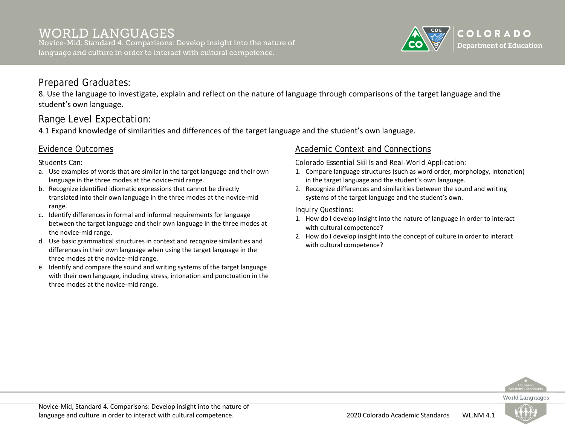Novice-Mid, Standard 4. Comparisons: Develop insight into the nature of language and culture in order to interact with cultural competence.



#### Prepared Graduates:

8. Use the language to investigate, explain and reflect on the nature of language through comparisons of the target language and the student's own language.

### Range Level Expectation:

4.1 Expand knowledge of similarities and differences of the target language and the student's own language.

#### Evidence Outcomes

*Students Can:*

- a. Use examples of words that are similar in the target language and their own language in the three modes at the novice-mid range.
- b. Recognize identified idiomatic expressions that cannot be directly translated into their own language in the three modes at the novice-mid range.
- c. Identify differences in formal and informal requirements for language between the target language and their own language in the three modes at the novice-mid range.
- d. Use basic grammatical structures in context and recognize similarities and differences in their own language when using the target language in the three modes at the novice-mid range.
- e. Identify and compare the sound and writing systems of the target language with their own language, including stress, intonation and punctuation in the three modes at the novice-mid range.

#### Academic Context and Connections

*Colorado Essential Skills and Real-World Application:*

- 1. Compare language structures (such as word order, morphology, intonation) in the target language and the student's own language.
- 2. Recognize differences and similarities between the sound and writing systems of the target language and the student's own.

- 1. How do I develop insight into the nature of language in order to interact with cultural competence?
- 2. How do I develop insight into the concept of culture in order to interact with cultural competence?



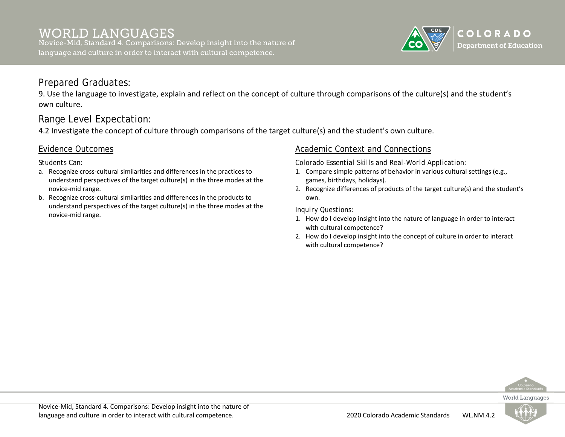

9. Use the language to investigate, explain and reflect on the concept of culture through comparisons of the culture(s) and the student's own culture.

## Range Level Expectation:

4.2 Investigate the concept of culture through comparisons of the target culture(s) and the student's own culture.

#### Evidence Outcomes

*Students Can:*

- a. Recognize cross-cultural similarities and differences in the practices to understand perspectives of the target culture(s) in the three modes at the novice-mid range.
- b. Recognize cross-cultural similarities and differences in the products to understand perspectives of the target culture(s) in the three modes at the novice-mid range.

#### Academic Context and Connections

*Colorado Essential Skills and Real-World Application:*

- 1. Compare simple patterns of behavior in various cultural settings (e.g., games, birthdays, holidays).
- 2. Recognize differences of products of the target culture(s) and the student's own.

- 1. How do I develop insight into the nature of language in order to interact with cultural competence?
- 2. How do I develop insight into the concept of culture in order to interact with cultural competence?



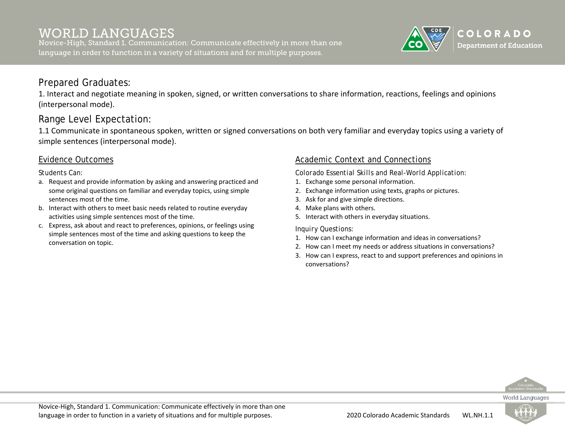Novice-High, Standard 1. Communication: Communicate effectively in more than one language in order to function in a variety of situations and for multiple purposes.



#### Prepared Graduates:

1. Interact and negotiate meaning in spoken, signed, or written conversations to share information, reactions, feelings and opinions (interpersonal mode).

### Range Level Expectation:

1.1 Communicate in spontaneous spoken, written or signed conversations on both very familiar and everyday topics using a variety of simple sentences (interpersonal mode).

#### Evidence Outcomes

*Students Can:*

- a. Request and provide information by asking and answering practiced and some original questions on familiar and everyday topics, using simple sentences most of the time.
- b. Interact with others to meet basic needs related to routine everyday activities using simple sentences most of the time.
- c. Express, ask about and react to preferences, opinions, or feelings using simple sentences most of the time and asking questions to keep the conversation on topic.

#### Academic Context and Connections

*Colorado Essential Skills and Real-World Application:*

- 1. Exchange some personal information.
- 2. Exchange information using texts, graphs or pictures.
- 3. Ask for and give simple directions.
- 4. Make plans with others.
- 5. Interact with others in everyday situations.

- 1. How can I exchange information and ideas in conversations?
- 2. How can I meet my needs or address situations in conversations?
- 3. How can I express, react to and support preferences and opinions in conversations?



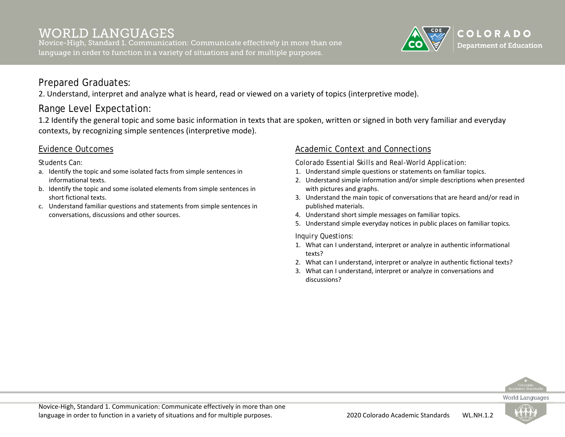Novice-High, Standard 1. Communication: Communicate effectively in more than one language in order to function in a variety of situations and for multiple purposes.



### Prepared Graduates:

2. Understand, interpret and analyze what is heard, read or viewed on a variety of topics (interpretive mode).

## Range Level Expectation:

1.2 Identify the general topic and some basic information in texts that are spoken, written or signed in both very familiar and everyday contexts, by recognizing simple sentences (interpretive mode).

#### Evidence Outcomes

*Students Can:*

- a. Identify the topic and some isolated facts from simple sentences in informational texts.
- b. Identify the topic and some isolated elements from simple sentences in short fictional texts.
- c. Understand familiar questions and statements from simple sentences in conversations, discussions and other sources.

#### Academic Context and Connections

*Colorado Essential Skills and Real-World Application:*

- 1. Understand simple questions or statements on familiar topics.
- 2. Understand simple information and/or simple descriptions when presented with pictures and graphs.
- 3. Understand the main topic of conversations that are heard and/or read in published materials.
- 4. Understand short simple messages on familiar topics.
- 5. Understand simple everyday notices in public places on familiar topics.

- 1. What can I understand, interpret or analyze in authentic informational texts?
- 2. What can I understand, interpret or analyze in authentic fictional texts?
- 3. What can I understand, interpret or analyze in conversations and discussions?



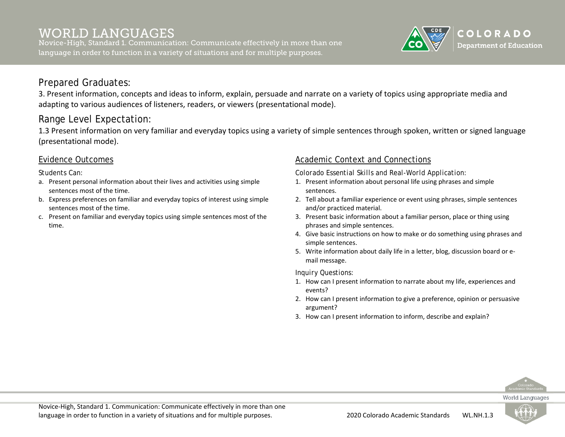Novice-High, Standard 1. Communication: Communicate effectively in more than one language in order to function in a variety of situations and for multiple purposes.



#### Prepared Graduates:

3. Present information, concepts and ideas to inform, explain, persuade and narrate on a variety of topics using appropriate media and adapting to various audiences of listeners, readers, or viewers (presentational mode).

### Range Level Expectation:

1.3 Present information on very familiar and everyday topics using a variety of simple sentences through spoken, written or signed language (presentational mode).

#### Evidence Outcomes

#### *Students Can:*

- a. Present personal information about their lives and activities using simple sentences most of the time.
- b. Express preferences on familiar and everyday topics of interest using simple sentences most of the time.
- c. Present on familiar and everyday topics using simple sentences most of the time.

#### Academic Context and Connections

*Colorado Essential Skills and Real-World Application:*

- 1. Present information about personal life using phrases and simple sentences.
- 2. Tell about a familiar experience or event using phrases, simple sentences and/or practiced material.
- 3. Present basic information about a familiar person, place or thing using phrases and simple sentences.
- 4. Give basic instructions on how to make or do something using phrases and simple sentences.
- 5. Write information about daily life in a letter, blog, discussion board or email message.

#### *Inquiry Questions:*

- 1. How can I present information to narrate about my life, experiences and events?
- 2. How can I present information to give a preference, opinion or persuasive argument?
- 3. How can I present information to inform, describe and explain?



World Languages

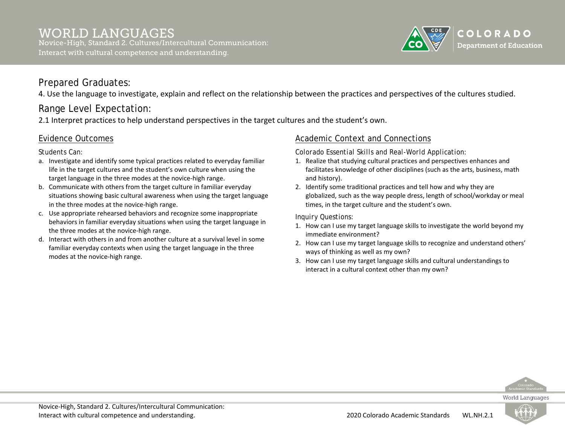

4. Use the language to investigate, explain and reflect on the relationship between the practices and perspectives of the cultures studied.

## Range Level Expectation:

2.1 Interpret practices to help understand perspectives in the target cultures and the student's own.

### Evidence Outcomes

*Students Can:*

- a. Investigate and identify some typical practices related to everyday familiar life in the target cultures and the student's own culture when using the target language in the three modes at the novice-high range.
- b. Communicate with others from the target culture in familiar everyday situations showing basic cultural awareness when using the target language in the three modes at the novice-high range.
- c. Use appropriate rehearsed behaviors and recognize some inappropriate behaviors in familiar everyday situations when using the target language in the three modes at the novice-high range.
- d. Interact with others in and from another culture at a survival level in some familiar everyday contexts when using the target language in the three modes at the novice-high range.

#### Academic Context and Connections

*Colorado Essential Skills and Real-World Application:*

- 1. Realize that studying cultural practices and perspectives enhances and facilitates knowledge of other disciplines (such as the arts, business, math and history).
- 2. Identify some traditional practices and tell how and why they are globalized, such as the way people dress, length of school/workday or meal times, in the target culture and the student's own.

- 1. How can I use my target language skills to investigate the world beyond my immediate environment?
- 2. How can I use my target language skills to recognize and understand others' ways of thinking as well as my own?
- 3. How can I use my target language skills and cultural understandings to interact in a cultural context other than my own?



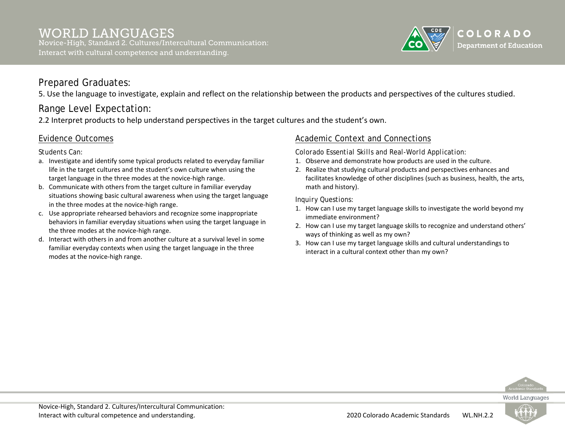

5. Use the language to investigate, explain and reflect on the relationship between the products and perspectives of the cultures studied.

## Range Level Expectation:

2.2 Interpret products to help understand perspectives in the target cultures and the student's own.

#### Evidence Outcomes

*Students Can:*

- a. Investigate and identify some typical products related to everyday familiar life in the target cultures and the student's own culture when using the target language in the three modes at the novice-high range.
- b. Communicate with others from the target culture in familiar everyday situations showing basic cultural awareness when using the target language in the three modes at the novice-high range.
- c. Use appropriate rehearsed behaviors and recognize some inappropriate behaviors in familiar everyday situations when using the target language in the three modes at the novice-high range.
- d. Interact with others in and from another culture at a survival level in some familiar everyday contexts when using the target language in the three modes at the novice-high range.

#### Academic Context and Connections

*Colorado Essential Skills and Real-World Application:*

- 1. Observe and demonstrate how products are used in the culture.
- 2. Realize that studying cultural products and perspectives enhances and facilitates knowledge of other disciplines (such as business, health, the arts, math and history).

- 1. How can I use my target language skills to investigate the world beyond my immediate environment?
- 2. How can I use my target language skills to recognize and understand others' ways of thinking as well as my own?
- 3. How can I use my target language skills and cultural understandings to interact in a cultural context other than my own?



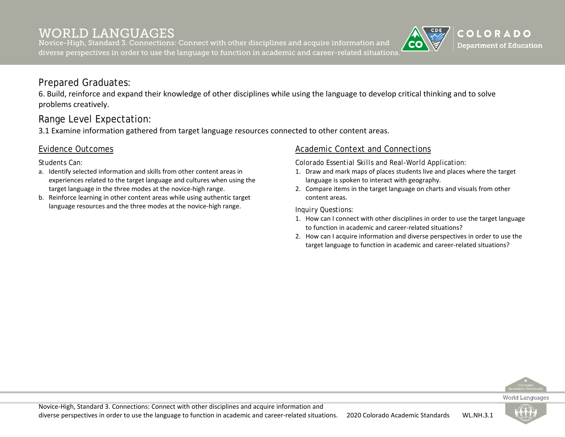Novice-High, Standard 3. Connections: Connect with other disciplines and acquire information and diverse perspectives in order to use the language to function in academic and career-related situations.

### Prepared Graduates:

6. Build, reinforce and expand their knowledge of other disciplines while using the language to develop critical thinking and to solve problems creatively.

### Range Level Expectation:

3.1 Examine information gathered from target language resources connected to other content areas.

#### Evidence Outcomes

*Students Can:*

- a. Identify selected information and skills from other content areas in experiences related to the target language and cultures when using the target language in the three modes at the novice-high range.
- b. Reinforce learning in other content areas while using authentic target language resources and the three modes at the novice-high range.

#### Academic Context and Connections

*Colorado Essential Skills and Real-World Application:*

- 1. Draw and mark maps of places students live and places where the target language is spoken to interact with geography.
- 2. Compare items in the target language on charts and visuals from other content areas.

*Inquiry Questions:*

- 1. How can I connect with other disciplines in order to use the target language to function in academic and career-related situations?
- 2. How can I acquire information and diverse perspectives in order to use the target language to function in academic and career-related situations?



COLORADO **Department of Education** 

World Languages

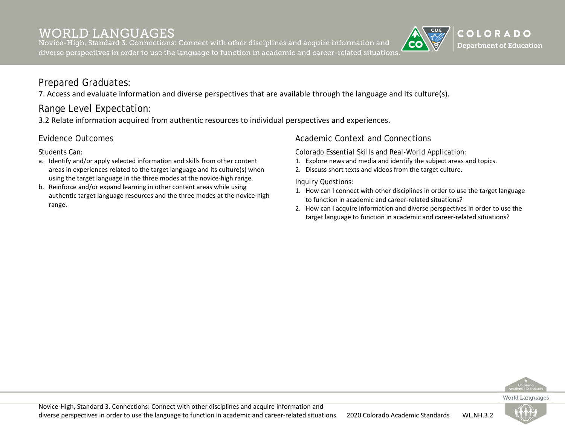Novice-High, Standard 3. Connections: Connect with other disciplines and acquire information and diverse perspectives in order to use the language to function in academic and career-related situations.

## COLORADO **Department of Education**

### Prepared Graduates:

7. Access and evaluate information and diverse perspectives that are available through the language and its culture(s).

## Range Level Expectation:

3.2 Relate information acquired from authentic resources to individual perspectives and experiences.

#### Evidence Outcomes

*Students Can:*

- a. Identify and/or apply selected information and skills from other content areas in experiences related to the target language and its culture(s) when using the target language in the three modes at the novice-high range.
- b. Reinforce and/or expand learning in other content areas while using authentic target language resources and the three modes at the novice-high range.

#### Academic Context and Connections

*Colorado Essential Skills and Real-World Application:*

- 1. Explore news and media and identify the subject areas and topics.
- 2. Discuss short texts and videos from the target culture.

- 1. How can I connect with other disciplines in order to use the target language to function in academic and career-related situations?
- 2. How can I acquire information and diverse perspectives in order to use the target language to function in academic and career-related situations?



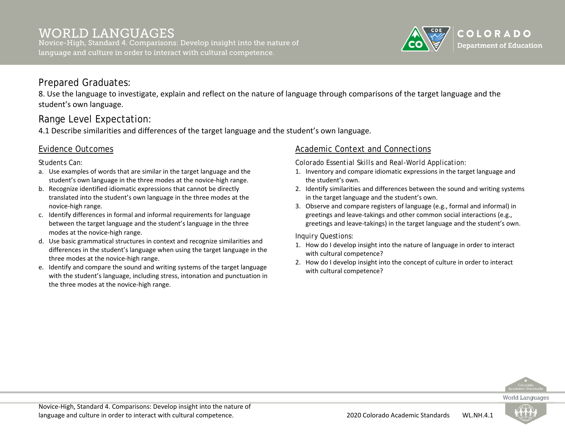Novice-High, Standard 4. Comparisons: Develop insight into the nature of language and culture in order to interact with cultural competence.



### Prepared Graduates:

8. Use the language to investigate, explain and reflect on the nature of language through comparisons of the target language and the student's own language.

# Range Level Expectation:

4.1 Describe similarities and differences of the target language and the student's own language.

### Evidence Outcomes

*Students Can:*

- a. Use examples of words that are similar in the target language and the student's own language in the three modes at the novice-high range.
- b. Recognize identified idiomatic expressions that cannot be directly translated into the student's own language in the three modes at the novice-high range.
- c. Identify differences in formal and informal requirements for language between the target language and the student's language in the three modes at the novice-high range.
- d. Use basic grammatical structures in context and recognize similarities and differences in the student's language when using the target language in the three modes at the novice-high range.
- e. Identify and compare the sound and writing systems of the target language with the student's language, including stress, intonation and punctuation in the three modes at the novice-high range.

### Academic Context and Connections

*Colorado Essential Skills and Real-World Application:*

- 1. Inventory and compare idiomatic expressions in the target language and the student's own.
- 2. Identify similarities and differences between the sound and writing systems in the target language and the student's own.
- 3. Observe and compare registers of language (e.g., formal and informal) in greetings and leave-takings and other common social interactions (e.g., greetings and leave-takings) in the target language and the student's own.

- 1. How do I develop insight into the nature of language in order to interact with cultural competence?
- 2. How do I develop insight into the concept of culture in order to interact with cultural competence?



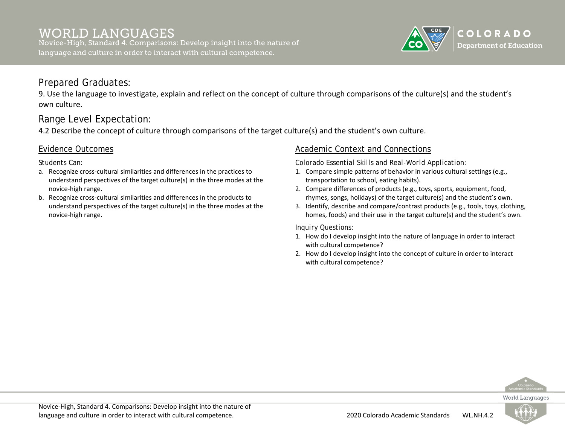

# Prepared Graduates:

9. Use the language to investigate, explain and reflect on the concept of culture through comparisons of the culture(s) and the student's own culture.

# Range Level Expectation:

4.2 Describe the concept of culture through comparisons of the target culture(s) and the student's own culture.

### Evidence Outcomes

*Students Can:*

- a. Recognize cross-cultural similarities and differences in the practices to understand perspectives of the target culture(s) in the three modes at the novice-high range.
- b. Recognize cross-cultural similarities and differences in the products to understand perspectives of the target culture(s) in the three modes at the novice-high range.

### Academic Context and Connections

*Colorado Essential Skills and Real-World Application:*

- 1. Compare simple patterns of behavior in various cultural settings (e.g., transportation to school, eating habits).
- 2. Compare differences of products (e.g., toys, sports, equipment, food, rhymes, songs, holidays) of the target culture(s) and the student's own.
- 3. Identify, describe and compare/contrast products (e.g., tools, toys, clothing, homes, foods) and their use in the target culture(s) and the student's own.

- 1. How do I develop insight into the nature of language in order to interact with cultural competence?
- 2. How do I develop insight into the concept of culture in order to interact with cultural competence?



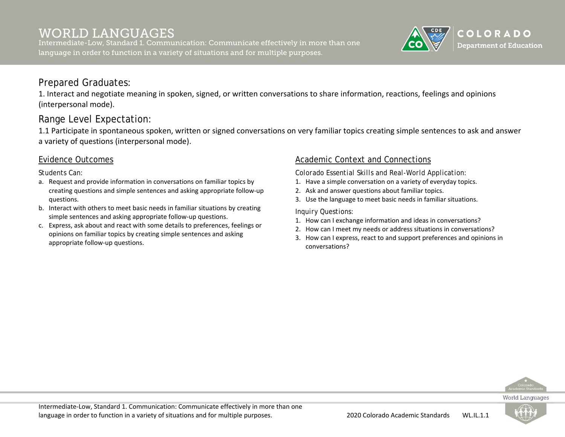Intermediate-Low, Standard 1. Communication: Communicate effectively in more than one language in order to function in a variety of situations and for multiple purposes.



# Prepared Graduates:

1. Interact and negotiate meaning in spoken, signed, or written conversations to share information, reactions, feelings and opinions (interpersonal mode).

# Range Level Expectation:

1.1 Participate in spontaneous spoken, written or signed conversations on very familiar topics creating simple sentences to ask and answer a variety of questions (interpersonal mode).

### Evidence Outcomes

*Students Can:*

- a. Request and provide information in conversations on familiar topics by creating questions and simple sentences and asking appropriate follow-up questions.
- b. Interact with others to meet basic needs in familiar situations by creating simple sentences and asking appropriate follow-up questions.
- c. Express, ask about and react with some details to preferences, feelings or opinions on familiar topics by creating simple sentences and asking appropriate follow-up questions.

### Academic Context and Connections

*Colorado Essential Skills and Real-World Application:*

- 1. Have a simple conversation on a variety of everyday topics.
- 2. Ask and answer questions about familiar topics.
- 3. Use the language to meet basic needs in familiar situations.

- 1. How can I exchange information and ideas in conversations?
- 2. How can I meet my needs or address situations in conversations?
- 3. How can I express, react to and support preferences and opinions in conversations?



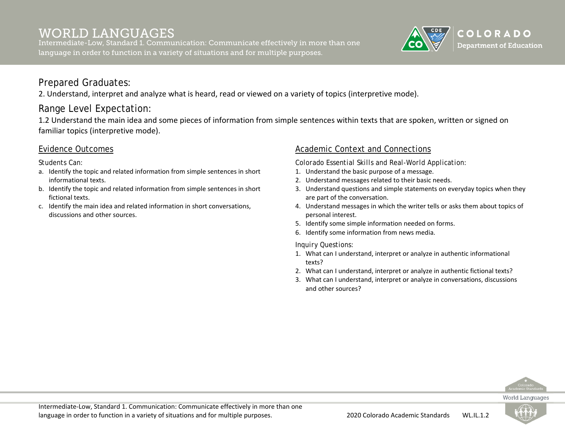Intermediate-Low, Standard 1. Communication: Communicate effectively in more than one language in order to function in a variety of situations and for multiple purposes.



# Prepared Graduates:

2. Understand, interpret and analyze what is heard, read or viewed on a variety of topics (interpretive mode).

# Range Level Expectation:

1.2 Understand the main idea and some pieces of information from simple sentences within texts that are spoken, written or signed on familiar topics (interpretive mode).

### Evidence Outcomes

*Students Can:*

- a. Identify the topic and related information from simple sentences in short informational texts.
- b. Identify the topic and related information from simple sentences in short fictional texts.
- c. Identify the main idea and related information in short conversations, discussions and other sources.

### Academic Context and Connections

*Colorado Essential Skills and Real-World Application:*

- 1. Understand the basic purpose of a message.
- 2. Understand messages related to their basic needs.
- 3. Understand questions and simple statements on everyday topics when they are part of the conversation.
- 4. Understand messages in which the writer tells or asks them about topics of personal interest.
- 5. Identify some simple information needed on forms.
- 6. Identify some information from news media.

#### *Inquiry Questions:*

- 1. What can I understand, interpret or analyze in authentic informational texts?
- 2. What can I understand, interpret or analyze in authentic fictional texts?
- 3. What can I understand, interpret or analyze in conversations, discussions and other sources?



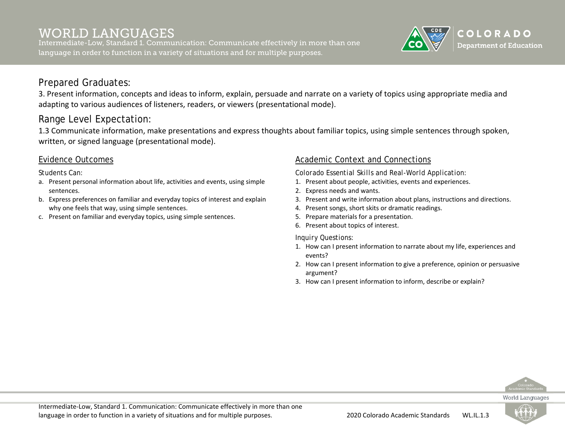Intermediate-Low, Standard 1. Communication: Communicate effectively in more than one language in order to function in a variety of situations and for multiple purposes.



## Prepared Graduates:

3. Present information, concepts and ideas to inform, explain, persuade and narrate on a variety of topics using appropriate media and adapting to various audiences of listeners, readers, or viewers (presentational mode).

# Range Level Expectation:

1.3 Communicate information, make presentations and express thoughts about familiar topics, using simple sentences through spoken, written, or signed language (presentational mode).

### Evidence Outcomes

*Students Can:*

- a. Present personal information about life, activities and events, using simple sentences.
- b. Express preferences on familiar and everyday topics of interest and explain why one feels that way, using simple sentences.
- c. Present on familiar and everyday topics, using simple sentences.

### Academic Context and Connections

*Colorado Essential Skills and Real-World Application:*

- 1. Present about people, activities, events and experiences.
- 2. Express needs and wants.
- 3. Present and write information about plans, instructions and directions.
- 4. Present songs, short skits or dramatic readings.
- 5. Prepare materials for a presentation.
- 6. Present about topics of interest.

- 1. How can I present information to narrate about my life, experiences and events?
- 2. How can I present information to give a preference, opinion or persuasive argument?
- 3. How can I present information to inform, describe or explain?



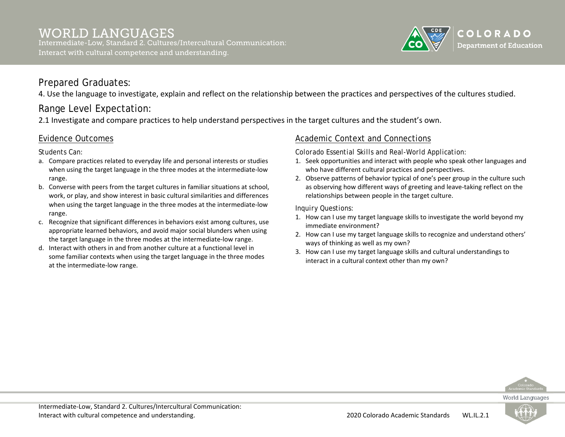#### WORLD LANGUAGES Intermediate-Low, Standard 2. Cultures/Intercultural Communication: Interact with cultural competence and understanding.



## Prepared Graduates:

4. Use the language to investigate, explain and reflect on the relationship between the practices and perspectives of the cultures studied.

# Range Level Expectation:

2.1 Investigate and compare practices to help understand perspectives in the target cultures and the student's own.

### Evidence Outcomes

*Students Can:*

- a. Compare practices related to everyday life and personal interests or studies when using the target language in the three modes at the intermediate-low range.
- b. Converse with peers from the target cultures in familiar situations at school, work, or play, and show interest in basic cultural similarities and differences when using the target language in the three modes at the intermediate-low range.
- c. Recognize that significant differences in behaviors exist among cultures, use appropriate learned behaviors, and avoid major social blunders when using the target language in the three modes at the intermediate-low range.
- d. Interact with others in and from another culture at a functional level in some familiar contexts when using the target language in the three modes at the intermediate-low range.

### Academic Context and Connections

*Colorado Essential Skills and Real-World Application:*

- 1. Seek opportunities and interact with people who speak other languages and who have different cultural practices and perspectives.
- 2. Observe patterns of behavior typical of one's peer group in the culture such as observing how different ways of greeting and leave-taking reflect on the relationships between people in the target culture.

- 1. How can I use my target language skills to investigate the world beyond my immediate environment?
- 2. How can I use my target language skills to recognize and understand others' ways of thinking as well as my own?
- 3. How can I use my target language skills and cultural understandings to interact in a cultural context other than my own?



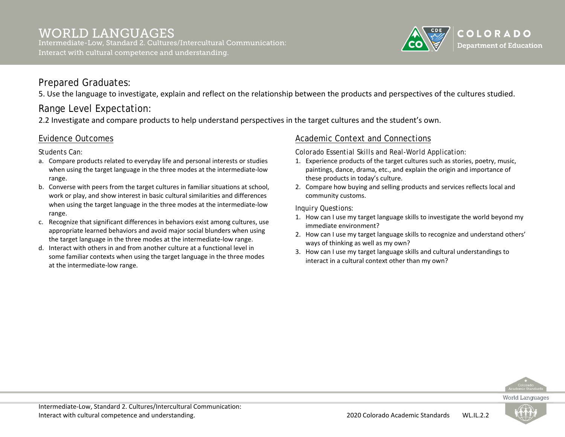#### WORLD LANGUAGES Intermediate-Low, Standard 2. Cultures/Intercultural Communication: Interact with cultural competence and understanding.

### Prepared Graduates:

5. Use the language to investigate, explain and reflect on the relationship between the products and perspectives of the cultures studied.

# Range Level Expectation:

2.2 Investigate and compare products to help understand perspectives in the target cultures and the student's own.

### Evidence Outcomes

*Students Can:*

- a. Compare products related to everyday life and personal interests or studies when using the target language in the three modes at the intermediate-low range.
- b. Converse with peers from the target cultures in familiar situations at school, work or play, and show interest in basic cultural similarities and differences when using the target language in the three modes at the intermediate-low range.
- c. Recognize that significant differences in behaviors exist among cultures, use appropriate learned behaviors and avoid major social blunders when using the target language in the three modes at the intermediate-low range.
- d. Interact with others in and from another culture at a functional level in some familiar contexts when using the target language in the three modes at the intermediate-low range.

### Academic Context and Connections

*Colorado Essential Skills and Real-World Application:*

- 1. Experience products of the target cultures such as stories, poetry, music, paintings, dance, drama, etc., and explain the origin and importance of these products in today's culture.
- 2. Compare how buying and selling products and services reflects local and community customs.

*Inquiry Questions:*

- 1. How can I use my target language skills to investigate the world beyond my immediate environment?
- 2. How can I use my target language skills to recognize and understand others' ways of thinking as well as my own?
- 3. How can I use my target language skills and cultural understandings to interact in a cultural context other than my own?



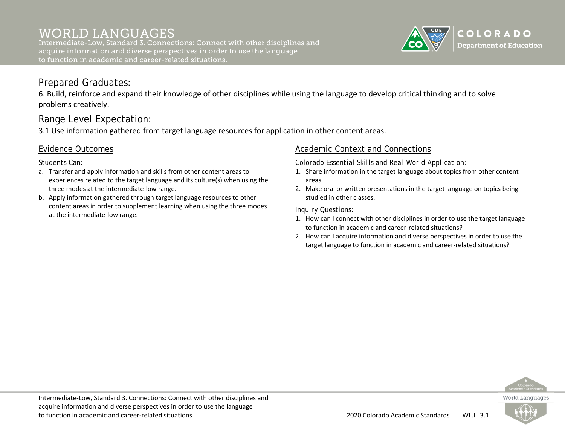Intermediate-Low, Standard 3. Connections: Connect with other disciplines and acquire information and diverse perspectives in order to use the language to function in academic and career-related situations.



## Prepared Graduates:

6. Build, reinforce and expand their knowledge of other disciplines while using the language to develop critical thinking and to solve problems creatively.

# Range Level Expectation:

3.1 Use information gathered from target language resources for application in other content areas.

### Evidence Outcomes

*Students Can:*

- a. Transfer and apply information and skills from other content areas to experiences related to the target language and its culture(s) when using the three modes at the intermediate-low range.
- b. Apply information gathered through target language resources to other content areas in order to supplement learning when using the three modes at the intermediate-low range.

### Academic Context and Connections

*Colorado Essential Skills and Real-World Application:*

- 1. Share information in the target language about topics from other content areas.
- 2. Make oral or written presentations in the target language on topics being studied in other classes.

- 1. How can I connect with other disciplines in order to use the target language to function in academic and career-related situations?
- 2. How can I acquire information and diverse perspectives in order to use the target language to function in academic and career-related situations?



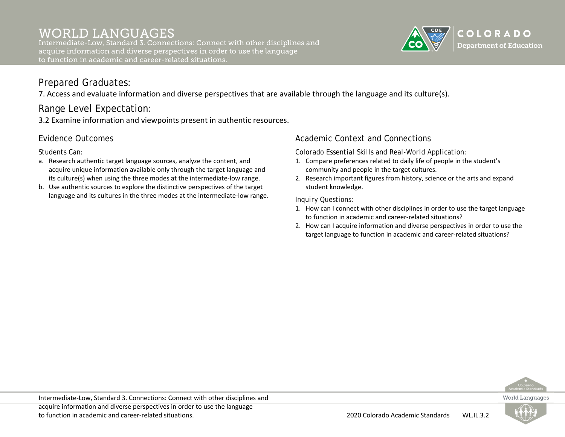Intermediate-Low, Standard 3. Connections: Connect with other disciplines and acquire information and diverse perspectives in order to use the language to function in academic and career-related situations.



# Prepared Graduates:

7. Access and evaluate information and diverse perspectives that are available through the language and its culture(s).

# Range Level Expectation:

3.2 Examine information and viewpoints present in authentic resources.

## Evidence Outcomes

*Students Can:*

- a. Research authentic target language sources, analyze the content, and acquire unique information available only through the target language and its culture(s) when using the three modes at the intermediate-low range.
- b. Use authentic sources to explore the distinctive perspectives of the target language and its cultures in the three modes at the intermediate-low range.

### Academic Context and Connections

*Colorado Essential Skills and Real-World Application:*

- 1. Compare preferences related to daily life of people in the student's community and people in the target cultures.
- 2. Research important figures from history, science or the arts and expand student knowledge.

- 1. How can I connect with other disciplines in order to use the target language to function in academic and career-related situations?
- 2. How can I acquire information and diverse perspectives in order to use the target language to function in academic and career-related situations?



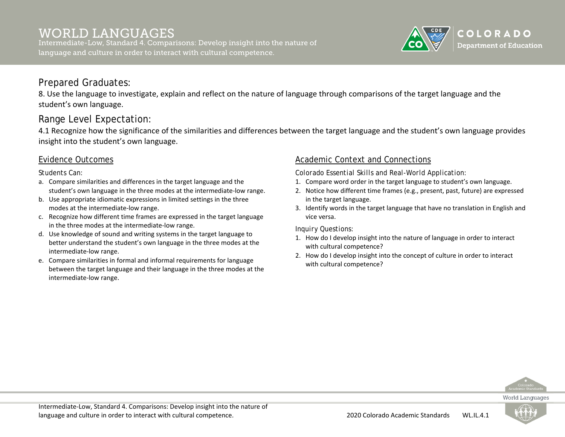Intermediate-Low, Standard 4. Comparisons: Develop insight into the nature of language and culture in order to interact with cultural competence.



## Prepared Graduates:

8. Use the language to investigate, explain and reflect on the nature of language through comparisons of the target language and the student's own language.

# Range Level Expectation:

4.1 Recognize how the significance of the similarities and differences between the target language and the student's own language provides insight into the student's own language.

### Evidence Outcomes

*Students Can:*

- a. Compare similarities and differences in the target language and the student's own language in the three modes at the intermediate-low range.
- b. Use appropriate idiomatic expressions in limited settings in the three modes at the intermediate-low range.
- c. Recognize how different time frames are expressed in the target language in the three modes at the intermediate-low range.
- d. Use knowledge of sound and writing systems in the target language to better understand the student's own language in the three modes at the intermediate-low range.
- e. Compare similarities in formal and informal requirements for language between the target language and their language in the three modes at the intermediate-low range.

### Academic Context and Connections

*Colorado Essential Skills and Real-World Application:*

- 1. Compare word order in the target language to student's own language.
- 2. Notice how different time frames (e.g., present, past, future) are expressed in the target language.
- 3. Identify words in the target language that have no translation in English and vice versa.

- 1. How do I develop insight into the nature of language in order to interact with cultural competence?
- 2. How do I develop insight into the concept of culture in order to interact with cultural competence?



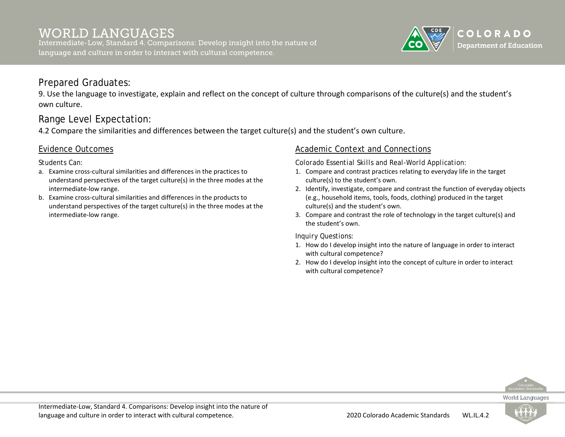Intermediate-Low, Standard 4. Comparisons: Develop insight into the nature of language and culture in order to interact with cultural competence.



# Prepared Graduates:

9. Use the language to investigate, explain and reflect on the concept of culture through comparisons of the culture(s) and the student's own culture.

# Range Level Expectation:

4.2 Compare the similarities and differences between the target culture(s) and the student's own culture.

### Evidence Outcomes

*Students Can:*

- a. Examine cross-cultural similarities and differences in the practices to understand perspectives of the target culture(s) in the three modes at the intermediate-low range.
- b. Examine cross-cultural similarities and differences in the products to understand perspectives of the target culture(s) in the three modes at the intermediate-low range.

### Academic Context and Connections

*Colorado Essential Skills and Real-World Application:*

- 1. Compare and contrast practices relating to everyday life in the target culture(s) to the student's own.
- 2. Identify, investigate, compare and contrast the function of everyday objects (e.g., household items, tools, foods, clothing) produced in the target culture(s) and the student's own.
- 3. Compare and contrast the role of technology in the target culture(s) and the student's own.

*Inquiry Questions:*

- 1. How do I develop insight into the nature of language in order to interact with cultural competence?
- 2. How do I develop insight into the concept of culture in order to interact with cultural competence?



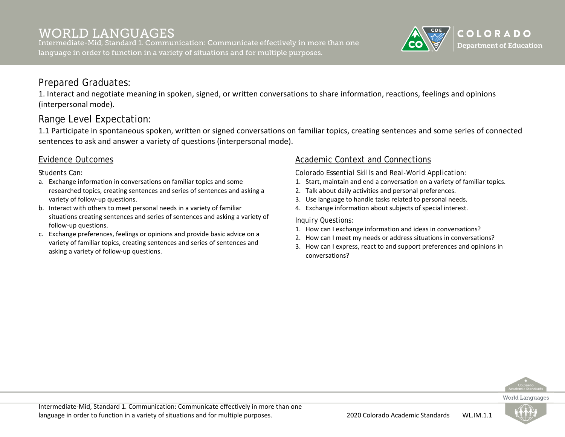Intermediate-Mid, Standard 1. Communication: Communicate effectively in more than one language in order to function in a variety of situations and for multiple purposes.



## Prepared Graduates:

1. Interact and negotiate meaning in spoken, signed, or written conversations to share information, reactions, feelings and opinions (interpersonal mode).

# Range Level Expectation:

1.1 Participate in spontaneous spoken, written or signed conversations on familiar topics, creating sentences and some series of connected sentences to ask and answer a variety of questions (interpersonal mode).

### Evidence Outcomes

#### *Students Can:*

- a. Exchange information in conversations on familiar topics and some researched topics, creating sentences and series of sentences and asking a variety of follow-up questions.
- b. Interact with others to meet personal needs in a variety of familiar situations creating sentences and series of sentences and asking a variety of follow-up questions.
- c. Exchange preferences, feelings or opinions and provide basic advice on a variety of familiar topics, creating sentences and series of sentences and asking a variety of follow-up questions.

### Academic Context and Connections

*Colorado Essential Skills and Real-World Application:*

- 1. Start, maintain and end a conversation on a variety of familiar topics.
- 2. Talk about daily activities and personal preferences.
- 3. Use language to handle tasks related to personal needs.
- 4. Exchange information about subjects of special interest.

- 1. How can I exchange information and ideas in conversations?
- 2. How can I meet my needs or address situations in conversations?
- 3. How can I express, react to and support preferences and opinions in conversations?



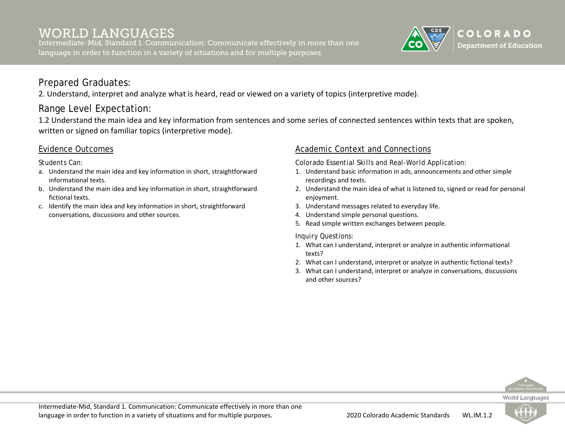Intermediate-Mid, Standard 1. Communication: Communicate effectively in more than one language in order to function in a variety of situations and for multiple purposes.



# Prepared Graduates:

2. Understand, interpret and analyze what is heard, read or viewed on a variety of topics (interpretive mode).

# Range Level Expectation:

1.2 Understand the main idea and key information from sentences and some series of connected sentences within texts that are spoken, written or signed on familiar topics (interpretive mode).

### Evidence Outcomes

*Students Can:*

- a. Understand the main idea and key information in short, straightforward informational texts.
- b. Understand the main idea and key information in short, straightforward fictional texts.
- c. Identify the main idea and key information in short, straightforward conversations, discussions and other sources.

### Academic Context and Connections

*Colorado Essential Skills and Real-World Application:*

- 1. Understand basic information in ads, announcements and other simple recordings and texts.
- 2. Understand the main idea of what is listened to, signed or read for personal enjoyment.
- 3. Understand messages related to everyday life.
- 4. Understand simple personal questions.
- 5. Read simple written exchanges between people.

- 1. What can I understand, interpret or analyze in authentic informational texts?
- 2. What can I understand, interpret or analyze in authentic fictional texts?
- 3. What can I understand, interpret or analyze in conversations, discussions and other sources?



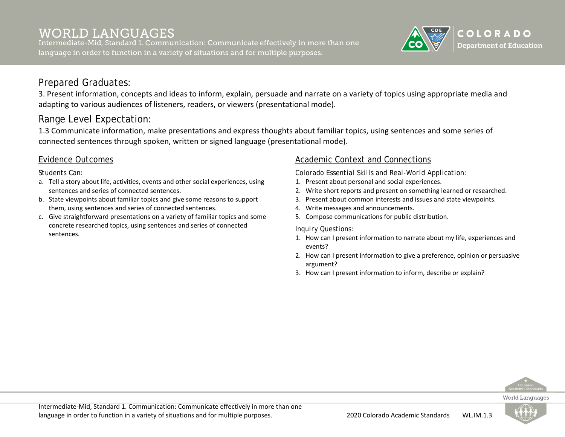Intermediate-Mid, Standard 1. Communication: Communicate effectively in more than one language in order to function in a variety of situations and for multiple purposes.



## Prepared Graduates:

3. Present information, concepts and ideas to inform, explain, persuade and narrate on a variety of topics using appropriate media and adapting to various audiences of listeners, readers, or viewers (presentational mode).

# Range Level Expectation:

1.3 Communicate information, make presentations and express thoughts about familiar topics, using sentences and some series of connected sentences through spoken, written or signed language (presentational mode).

### Evidence Outcomes

*Students Can:*

- a. Tell a story about life, activities, events and other social experiences, using sentences and series of connected sentences.
- b. State viewpoints about familiar topics and give some reasons to support them, using sentences and series of connected sentences.
- c. Give straightforward presentations on a variety of familiar topics and some concrete researched topics, using sentences and series of connected sentences.

### Academic Context and Connections

*Colorado Essential Skills and Real-World Application:*

- 1. Present about personal and social experiences.
- 2. Write short reports and present on something learned or researched.
- 3. Present about common interests and issues and state viewpoints.
- 4. Write messages and announcements.
- 5. Compose communications for public distribution.

*Inquiry Questions:*

- 1. How can I present information to narrate about my life, experiences and events?
- 2. How can I present information to give a preference, opinion or persuasive argument?
- 3. How can I present information to inform, describe or explain?



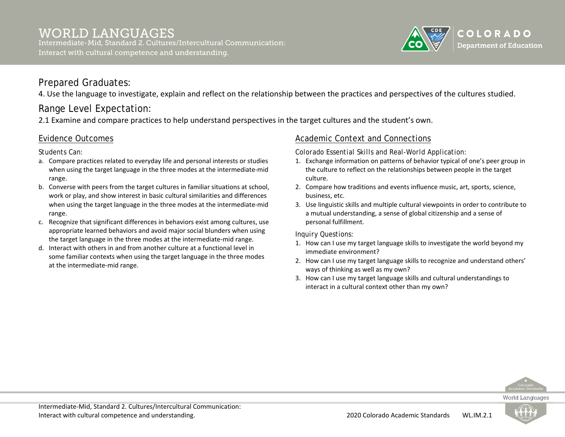

# Prepared Graduates:

4. Use the language to investigate, explain and reflect on the relationship between the practices and perspectives of the cultures studied.

# Range Level Expectation:

2.1 Examine and compare practices to help understand perspectives in the target cultures and the student's own.

## Evidence Outcomes

*Students Can:*

- a. Compare practices related to everyday life and personal interests or studies when using the target language in the three modes at the intermediate-mid range.
- b. Converse with peers from the target cultures in familiar situations at school, work or play, and show interest in basic cultural similarities and differences when using the target language in the three modes at the intermediate-mid range.
- c. Recognize that significant differences in behaviors exist among cultures, use appropriate learned behaviors and avoid major social blunders when using the target language in the three modes at the intermediate-mid range.
- d. Interact with others in and from another culture at a functional level in some familiar contexts when using the target language in the three modes at the intermediate-mid range.

### Academic Context and Connections

*Colorado Essential Skills and Real-World Application:*

- 1. Exchange information on patterns of behavior typical of one's peer group in the culture to reflect on the relationships between people in the target culture.
- 2. Compare how traditions and events influence music, art, sports, science, business, etc.
- 3. Use linguistic skills and multiple cultural viewpoints in order to contribute to a mutual understanding, a sense of global citizenship and a sense of personal fulfillment.

*Inquiry Questions:*

- 1. How can I use my target language skills to investigate the world beyond my immediate environment?
- 2. How can I use my target language skills to recognize and understand others' ways of thinking as well as my own?
- 3. How can I use my target language skills and cultural understandings to interact in a cultural context other than my own?



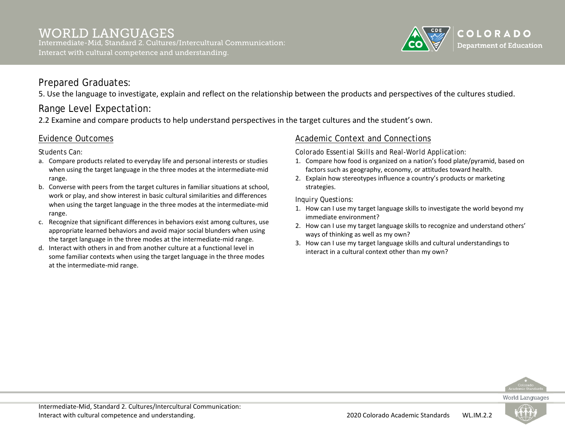

# Prepared Graduates:

5. Use the language to investigate, explain and reflect on the relationship between the products and perspectives of the cultures studied.

# Range Level Expectation:

2.2 Examine and compare products to help understand perspectives in the target cultures and the student's own.

## Evidence Outcomes

*Students Can:*

- a. Compare products related to everyday life and personal interests or studies when using the target language in the three modes at the intermediate-mid range.
- b. Converse with peers from the target cultures in familiar situations at school, work or play, and show interest in basic cultural similarities and differences when using the target language in the three modes at the intermediate-mid range.
- c. Recognize that significant differences in behaviors exist among cultures, use appropriate learned behaviors and avoid major social blunders when using the target language in the three modes at the intermediate-mid range.
- d. Interact with others in and from another culture at a functional level in some familiar contexts when using the target language in the three modes at the intermediate-mid range.

### Academic Context and Connections

*Colorado Essential Skills and Real-World Application:*

- 1. Compare how food is organized on a nation's food plate/pyramid, based on factors such as geography, economy, or attitudes toward health.
- 2. Explain how stereotypes influence a country's products or marketing strategies.

- 1. How can I use my target language skills to investigate the world beyond my immediate environment?
- 2. How can I use my target language skills to recognize and understand others' ways of thinking as well as my own?
- 3. How can I use my target language skills and cultural understandings to interact in a cultural context other than my own?



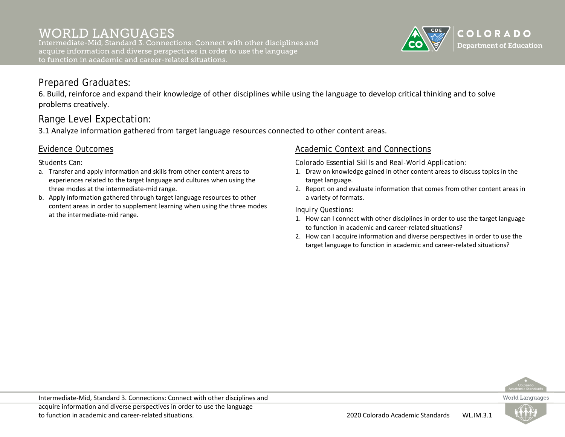Intermediate-Mid, Standard 3. Connections: Connect with other disciplines and acquire information and diverse perspectives in order to use the language to function in academic and career-related situations.



## Prepared Graduates:

6. Build, reinforce and expand their knowledge of other disciplines while using the language to develop critical thinking and to solve problems creatively.

# Range Level Expectation:

3.1 Analyze information gathered from target language resources connected to other content areas.

### Evidence Outcomes

*Students Can:*

- a. Transfer and apply information and skills from other content areas to experiences related to the target language and cultures when using the three modes at the intermediate-mid range.
- b. Apply information gathered through target language resources to other content areas in order to supplement learning when using the three modes at the intermediate-mid range.

### Academic Context and Connections

*Colorado Essential Skills and Real-World Application:*

- 1. Draw on knowledge gained in other content areas to discuss topics in the target language.
- 2. Report on and evaluate information that comes from other content areas in a variety of formats.

- 1. How can I connect with other disciplines in order to use the target language to function in academic and career-related situations?
- 2. How can I acquire information and diverse perspectives in order to use the target language to function in academic and career-related situations?



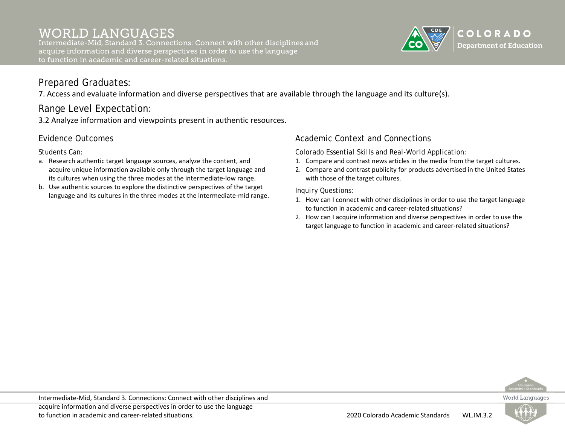Intermediate-Mid, Standard 3. Connections: Connect with other disciplines and acquire information and diverse perspectives in order to use the language to function in academic and career-related situations.



# Prepared Graduates:

7. Access and evaluate information and diverse perspectives that are available through the language and its culture(s).

# Range Level Expectation:

3.2 Analyze information and viewpoints present in authentic resources.

## Evidence Outcomes

*Students Can:*

- a. Research authentic target language sources, analyze the content, and acquire unique information available only through the target language and its cultures when using the three modes at the intermediate-low range.
- b. Use authentic sources to explore the distinctive perspectives of the target language and its cultures in the three modes at the intermediate-mid range.

### Academic Context and Connections

*Colorado Essential Skills and Real-World Application:*

- 1. Compare and contrast news articles in the media from the target cultures.
- 2. Compare and contrast publicity for products advertised in the United States with those of the target cultures.

- 1. How can I connect with other disciplines in order to use the target language to function in academic and career-related situations?
- 2. How can I acquire information and diverse perspectives in order to use the target language to function in academic and career-related situations?



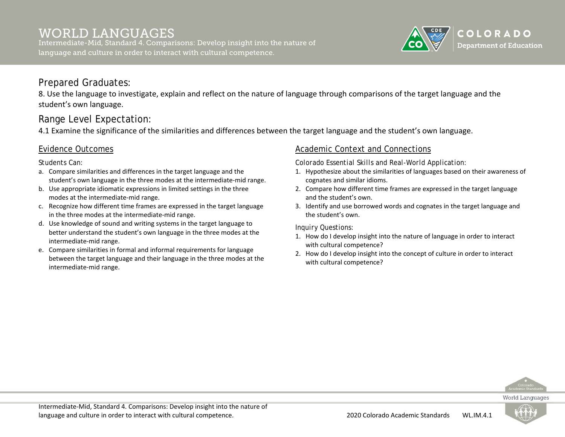Intermediate-Mid, Standard 4. Comparisons: Develop insight into the nature of language and culture in order to interact with cultural competence.



## Prepared Graduates:

8. Use the language to investigate, explain and reflect on the nature of language through comparisons of the target language and the student's own language.

# Range Level Expectation:

4.1 Examine the significance of the similarities and differences between the target language and the student's own language.

### Evidence Outcomes

*Students Can:*

- a. Compare similarities and differences in the target language and the student's own language in the three modes at the intermediate-mid range.
- b. Use appropriate idiomatic expressions in limited settings in the three modes at the intermediate-mid range.
- c. Recognize how different time frames are expressed in the target language in the three modes at the intermediate-mid range.
- d. Use knowledge of sound and writing systems in the target language to better understand the student's own language in the three modes at the intermediate-mid range.
- e. Compare similarities in formal and informal requirements for language between the target language and their language in the three modes at the intermediate-mid range.

### Academic Context and Connections

*Colorado Essential Skills and Real-World Application:*

- 1. Hypothesize about the similarities of languages based on their awareness of cognates and similar idioms.
- 2. Compare how different time frames are expressed in the target language and the student's own.
- 3. Identify and use borrowed words and cognates in the target language and the student's own.

- 1. How do I develop insight into the nature of language in order to interact with cultural competence?
- 2. How do I develop insight into the concept of culture in order to interact with cultural competence?



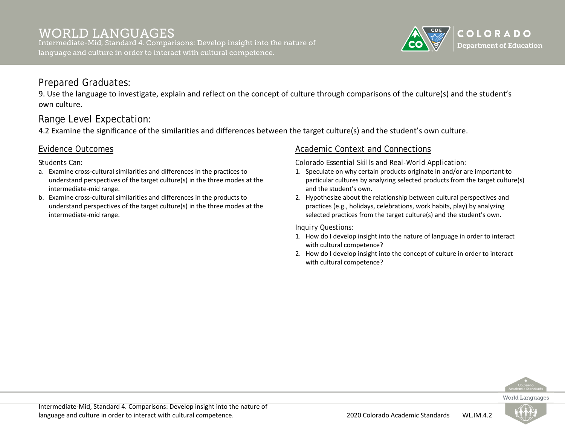Intermediate-Mid, Standard 4. Comparisons: Develop insight into the nature of language and culture in order to interact with cultural competence.



## Prepared Graduates:

9. Use the language to investigate, explain and reflect on the concept of culture through comparisons of the culture(s) and the student's own culture.

# Range Level Expectation:

4.2 Examine the significance of the similarities and differences between the target culture(s) and the student's own culture.

### Evidence Outcomes

*Students Can:*

- a. Examine cross-cultural similarities and differences in the practices to understand perspectives of the target culture(s) in the three modes at the intermediate-mid range.
- b. Examine cross-cultural similarities and differences in the products to understand perspectives of the target culture(s) in the three modes at the intermediate-mid range.

### Academic Context and Connections

*Colorado Essential Skills and Real-World Application:*

- 1. Speculate on why certain products originate in and/or are important to particular cultures by analyzing selected products from the target culture(s) and the student's own.
- 2. Hypothesize about the relationship between cultural perspectives and practices (e.g., holidays, celebrations, work habits, play) by analyzing selected practices from the target culture(s) and the student's own.

- 1. How do I develop insight into the nature of language in order to interact with cultural competence?
- 2. How do I develop insight into the concept of culture in order to interact with cultural competence?



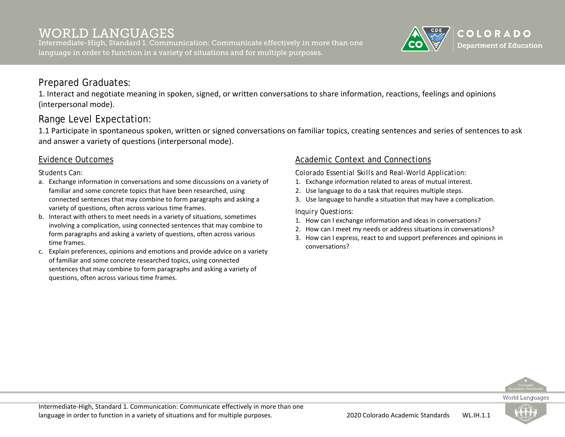Intermediate-High, Standard 1. Communication: Communicate effectively in more than one language in order to function in a variety of situations and for multiple purposes.



## Prepared Graduates:

1. Interact and negotiate meaning in spoken, signed, or written conversations to share information, reactions, feelings and opinions (interpersonal mode).

# Range Level Expectation:

1.1 Participate in spontaneous spoken, written or signed conversations on familiar topics, creating sentences and series of sentences to ask and answer a variety of questions (interpersonal mode).

### Evidence Outcomes

*Students Can:*

- a. Exchange information in conversations and some discussions on a variety of familiar and some concrete topics that have been researched, using connected sentences that may combine to form paragraphs and asking a variety of questions, often across various time frames.
- b. Interact with others to meet needs in a variety of situations, sometimes involving a complication, using connected sentences that may combine to form paragraphs and asking a variety of questions, often across various time frames.
- c. Explain preferences, opinions and emotions and provide advice on a variety of familiar and some concrete researched topics, using connected sentences that may combine to form paragraphs and asking a variety of questions, often across various time frames.

### Academic Context and Connections

*Colorado Essential Skills and Real-World Application:*

- 1. Exchange information related to areas of mutual interest.
- 2. Use language to do a task that requires multiple steps.
- 3. Use language to handle a situation that may have a complication.

- 1. How can I exchange information and ideas in conversations?
- 2. How can I meet my needs or address situations in conversations?
- 3. How can I express, react to and support preferences and opinions in conversations?



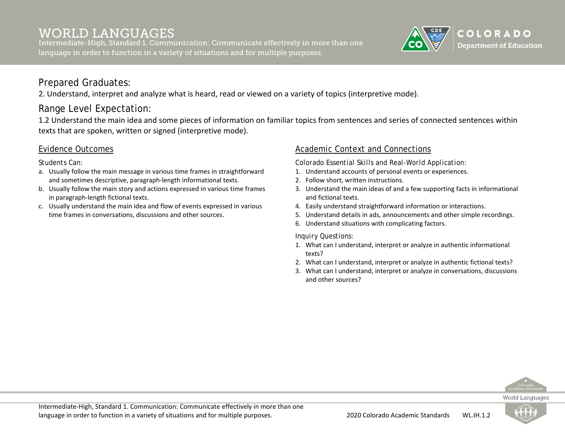Intermediate-High, Standard 1. Communication: Communicate effectively in more than one language in order to function in a variety of situations and for multiple purposes.



# Prepared Graduates:

2. Understand, interpret and analyze what is heard, read or viewed on a variety of topics (interpretive mode).

# Range Level Expectation:

1.2 Understand the main idea and some pieces of information on familiar topics from sentences and series of connected sentences within texts that are spoken, written or signed (interpretive mode).

### Evidence Outcomes

#### *Students Can:*

- a. Usually follow the main message in various time frames in straightforward and sometimes descriptive, paragraph-length informational texts.
- b. Usually follow the main story and actions expressed in various time frames in paragraph-length fictional texts.
- c. Usually understand the main idea and flow of events expressed in various time frames in conversations, discussions and other sources.

### Academic Context and Connections

*Colorado Essential Skills and Real-World Application:*

- 1. Understand accounts of personal events or experiences.
- 2. Follow short, written instructions.
- 3. Understand the main ideas of and a few supporting facts in informational and fictional texts.
- 4. Easily understand straightforward information or interactions.
- 5. Understand details in ads, announcements and other simple recordings.
- 6. Understand situations with complicating factors.

- 1. What can I understand, interpret or analyze in authentic informational texts?
- 2. What can I understand, interpret or analyze in authentic fictional texts?
- 3. What can I understand, interpret or analyze in conversations, discussions and other sources?



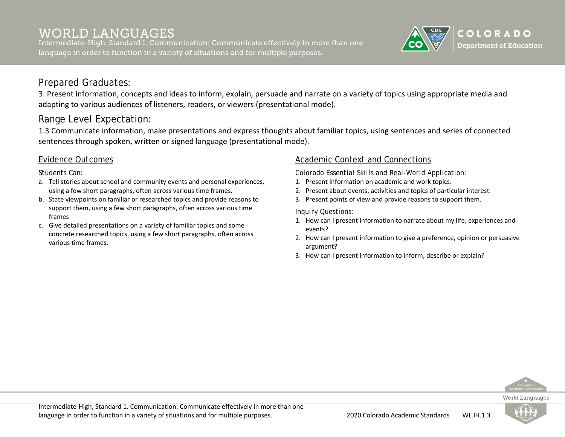Intermediate-High, Standard 1. Communication: Communicate effectively in more than one language in order to function in a variety of situations and for multiple purposes.



## Prepared Graduates:

3. Present information, concepts and ideas to inform, explain, persuade and narrate on a variety of topics using appropriate media and adapting to various audiences of listeners, readers, or viewers (presentational mode).

# Range Level Expectation:

1.3 Communicate information, make presentations and express thoughts about familiar topics, using sentences and series of connected sentences through spoken, written or signed language (presentational mode).

### Evidence Outcomes

*Students Can:*

- a. Tell stories about school and community events and personal experiences, using a few short paragraphs, often across various time frames.
- b. State viewpoints on familiar or researched topics and provide reasons to support them, using a few short paragraphs, often across various time frames
- c. Give detailed presentations on a variety of familiar topics and some concrete researched topics, using a few short paragraphs, often across various time frames.

### Academic Context and Connections

*Colorado Essential Skills and Real-World Application:*

- 1. Present information on academic and work topics.
- 2. Present about events, activities and topics of particular interest.
- 3. Present points of view and provide reasons to support them.

#### *Inquiry Questions:*

- 1. How can I present information to narrate about my life, experiences and events?
- 2. How can I present information to give a preference, opinion or persuasive argument?
- 3. How can I present information to inform, describe or explain?



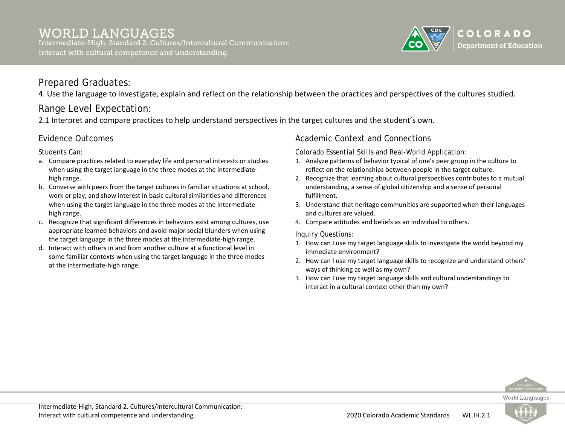

# Prepared Graduates:

4. Use the language to investigate, explain and reflect on the relationship between the practices and perspectives of the cultures studied.

# Range Level Expectation:

2.1 Interpret and compare practices to help understand perspectives in the target cultures and the student's own.

### Evidence Outcomes

*Students Can:*

- a. Compare practices related to everyday life and personal interests or studies when using the target language in the three modes at the intermediatehigh range.
- b. Converse with peers from the target cultures in familiar situations at school, work or play, and show interest in basic cultural similarities and differences when using the target language in the three modes at the intermediatehigh range.
- c. Recognize that significant differences in behaviors exist among cultures, use appropriate learned behaviors and avoid major social blunders when using the target language in the three modes at the intermediate-high range.
- d. Interact with others in and from another culture at a functional level in some familiar contexts when using the target language in the three modes at the intermediate-high range.

### Academic Context and Connections

*Colorado Essential Skills and Real-World Application:*

- 1. Analyze patterns of behavior typical of one's peer group in the culture to reflect on the relationships between people in the target culture.
- 2. Recognize that learning about cultural perspectives contributes to a mutual understanding, a sense of global citizenship and a sense of personal fulfillment.
- 3. Understand that heritage communities are supported when their languages and cultures are valued.
- 4. Compare attitudes and beliefs as an individual to others.

- 1. How can I use my target language skills to investigate the world beyond my immediate environment?
- 2. How can I use my target language skills to recognize and understand others' ways of thinking as well as my own?
- 3. How can I use my target language skills and cultural understandings to interact in a cultural context other than my own?



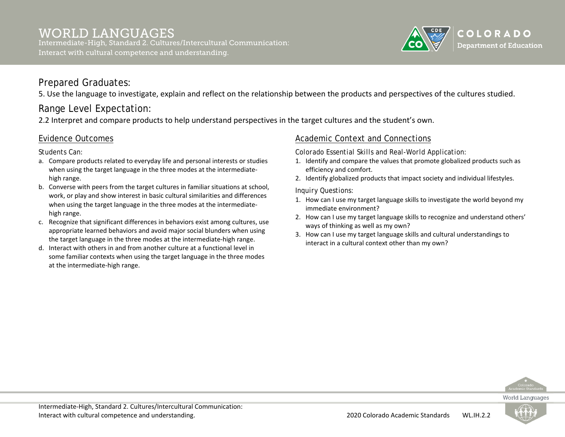

## Prepared Graduates:

5. Use the language to investigate, explain and reflect on the relationship between the products and perspectives of the cultures studied.

# Range Level Expectation:

2.2 Interpret and compare products to help understand perspectives in the target cultures and the student's own.

### Evidence Outcomes

*Students Can:*

- a. Compare products related to everyday life and personal interests or studies when using the target language in the three modes at the intermediatehigh range.
- b. Converse with peers from the target cultures in familiar situations at school, work, or play and show interest in basic cultural similarities and differences when using the target language in the three modes at the intermediatehigh range.
- c. Recognize that significant differences in behaviors exist among cultures, use appropriate learned behaviors and avoid major social blunders when using the target language in the three modes at the intermediate-high range.
- d. Interact with others in and from another culture at a functional level in some familiar contexts when using the target language in the three modes at the intermediate-high range.

### Academic Context and Connections

*Colorado Essential Skills and Real-World Application:*

- 1. Identify and compare the values that promote globalized products such as efficiency and comfort.
- 2. Identify globalized products that impact society and individual lifestyles.

- 1. How can I use my target language skills to investigate the world beyond my immediate environment?
- 2. How can I use my target language skills to recognize and understand others' ways of thinking as well as my own?
- 3. How can I use my target language skills and cultural understandings to interact in a cultural context other than my own?



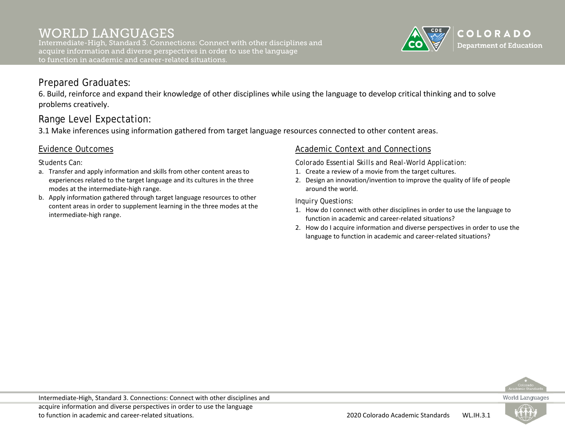Intermediate-High, Standard 3. Connections: Connect with other disciplines and acquire information and diverse perspectives in order to use the language to function in academic and career-related situations.



### Prepared Graduates:

6. Build, reinforce and expand their knowledge of other disciplines while using the language to develop critical thinking and to solve problems creatively.

## Range Level Expectation:

3.1 Make inferences using information gathered from target language resources connected to other content areas.

### Evidence Outcomes

*Students Can:*

- a. Transfer and apply information and skills from other content areas to experiences related to the target language and its cultures in the three modes at the intermediate-high range.
- b. Apply information gathered through target language resources to other content areas in order to supplement learning in the three modes at the intermediate-high range.

### Academic Context and Connections

*Colorado Essential Skills and Real-World Application:*

- 1. Create a review of a movie from the target cultures.
- 2. Design an innovation/invention to improve the quality of life of people around the world.

- 1. How do I connect with other disciplines in order to use the language to function in academic and career-related situations?
- 2. How do I acquire information and diverse perspectives in order to use the language to function in academic and career-related situations?



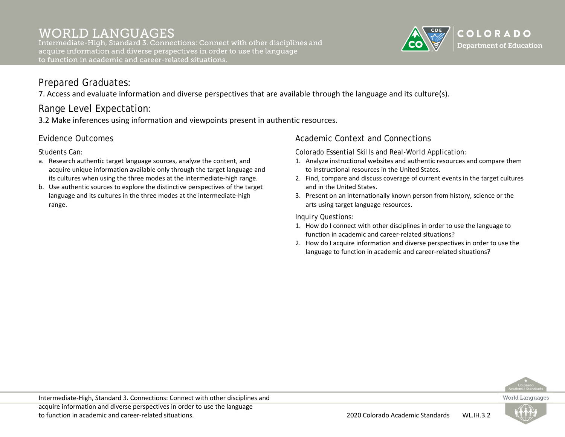Intermediate-High, Standard 3. Connections: Connect with other disciplines and acquire information and diverse perspectives in order to use the language to function in academic and career-related situations.



# Prepared Graduates:

7. Access and evaluate information and diverse perspectives that are available through the language and its culture(s).

# Range Level Expectation:

3.2 Make inferences using information and viewpoints present in authentic resources.

### Evidence Outcomes

*Students Can:*

- a. Research authentic target language sources, analyze the content, and acquire unique information available only through the target language and its cultures when using the three modes at the intermediate-high range.
- b. Use authentic sources to explore the distinctive perspectives of the target language and its cultures in the three modes at the intermediate-high range.

### Academic Context and Connections

*Colorado Essential Skills and Real-World Application:*

- 1. Analyze instructional websites and authentic resources and compare them to instructional resources in the United States.
- 2. Find, compare and discuss coverage of current events in the target cultures and in the United States.
- 3. Present on an internationally known person from history, science or the arts using target language resources.

- 1. How do I connect with other disciplines in order to use the language to function in academic and career-related situations?
- 2. How do I acquire information and diverse perspectives in order to use the language to function in academic and career-related situations?



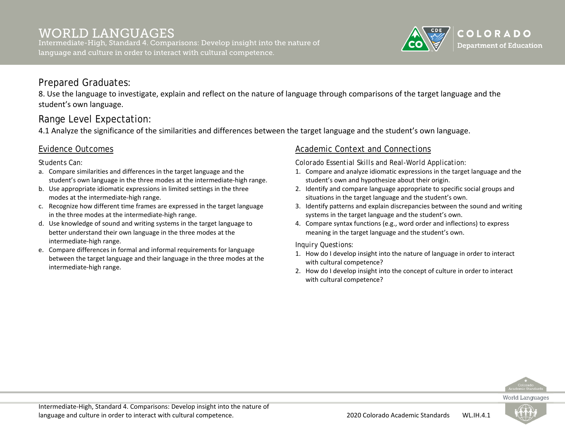Intermediate-High, Standard 4. Comparisons: Develop insight into the nature of language and culture in order to interact with cultural competence.

# COLORADO **Department of Education**

## Prepared Graduates:

8. Use the language to investigate, explain and reflect on the nature of language through comparisons of the target language and the student's own language.

# Range Level Expectation:

4.1 Analyze the significance of the similarities and differences between the target language and the student's own language.

### Evidence Outcomes

*Students Can:*

- a. Compare similarities and differences in the target language and the student's own language in the three modes at the intermediate-high range.
- b. Use appropriate idiomatic expressions in limited settings in the three modes at the intermediate-high range.
- c. Recognize how different time frames are expressed in the target language in the three modes at the intermediate-high range.
- d. Use knowledge of sound and writing systems in the target language to better understand their own language in the three modes at the intermediate-high range.
- e. Compare differences in formal and informal requirements for language between the target language and their language in the three modes at the intermediate-high range.

### Academic Context and Connections

*Colorado Essential Skills and Real-World Application:*

- 1. Compare and analyze idiomatic expressions in the target language and the student's own and hypothesize about their origin.
- 2. Identify and compare language appropriate to specific social groups and situations in the target language and the student's own.
- 3. Identify patterns and explain discrepancies between the sound and writing systems in the target language and the student's own.
- 4. Compare syntax functions (e.g., word order and inflections) to express meaning in the target language and the student's own.

- 1. How do I develop insight into the nature of language in order to interact with cultural competence?
- 2. How do I develop insight into the concept of culture in order to interact with cultural competence?



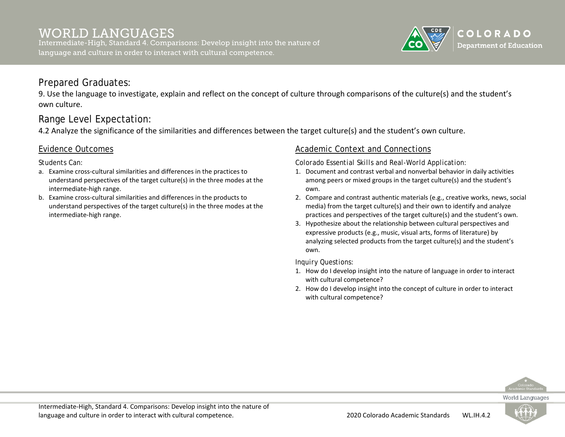Intermediate-High, Standard 4. Comparisons: Develop insight into the nature of language and culture in order to interact with cultural competence.

# COLORADO **Department of Education**

# Prepared Graduates:

9. Use the language to investigate, explain and reflect on the concept of culture through comparisons of the culture(s) and the student's own culture.

# Range Level Expectation:

4.2 Analyze the significance of the similarities and differences between the target culture(s) and the student's own culture.

### Evidence Outcomes

*Students Can:*

- a. Examine cross-cultural similarities and differences in the practices to understand perspectives of the target culture(s) in the three modes at the intermediate-high range.
- b. Examine cross-cultural similarities and differences in the products to understand perspectives of the target culture(s) in the three modes at the intermediate-high range.

### Academic Context and Connections

*Colorado Essential Skills and Real-World Application:*

- 1. Document and contrast verbal and nonverbal behavior in daily activities among peers or mixed groups in the target culture(s) and the student's own.
- 2. Compare and contrast authentic materials (e.g., creative works, news, social media) from the target culture(s) and their own to identify and analyze practices and perspectives of the target culture(s) and the student's own.
- 3. Hypothesize about the relationship between cultural perspectives and expressive products (e.g., music, visual arts, forms of literature) by analyzing selected products from the target culture(s) and the student's own.

- 1. How do I develop insight into the nature of language in order to interact with cultural competence?
- 2. How do I develop insight into the concept of culture in order to interact with cultural competence?



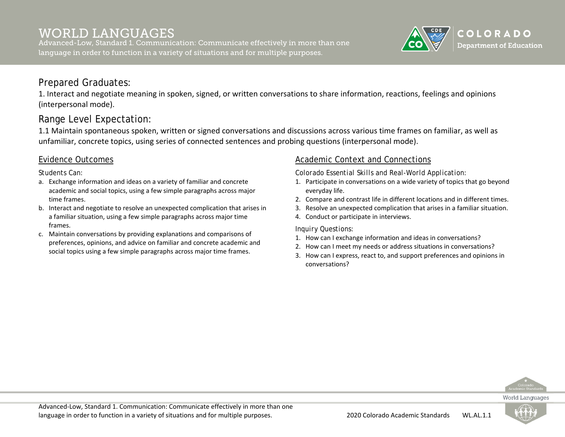Advanced-Low, Standard 1. Communication: Communicate effectively in more than one language in order to function in a variety of situations and for multiple purposes.

### Prepared Graduates:

1. Interact and negotiate meaning in spoken, signed, or written conversations to share information, reactions, feelings and opinions (interpersonal mode).

## Range Level Expectation:

1.1 Maintain spontaneous spoken, written or signed conversations and discussions across various time frames on familiar, as well as unfamiliar, concrete topics, using series of connected sentences and probing questions (interpersonal mode).

#### Evidence Outcomes

*Students Can:*

- a. Exchange information and ideas on a variety of familiar and concrete academic and social topics, using a few simple paragraphs across major time frames.
- b. Interact and negotiate to resolve an unexpected complication that arises in a familiar situation, using a few simple paragraphs across major time frames.
- c. Maintain conversations by providing explanations and comparisons of preferences, opinions, and advice on familiar and concrete academic and social topics using a few simple paragraphs across major time frames.

#### Academic Context and Connections

*Colorado Essential Skills and Real-World Application:*

- 1. Participate in conversations on a wide variety of topics that go beyond everyday life.
- 2. Compare and contrast life in different locations and in different times.
- 3. Resolve an unexpected complication that arises in a familiar situation.
- 4. Conduct or participate in interviews.

*Inquiry Questions:*

- 1. How can I exchange information and ideas in conversations?
- 2. How can I meet my needs or address situations in conversations?
- 3. How can I express, react to, and support preferences and opinions in conversations?



COLORADO **Department of Education** 

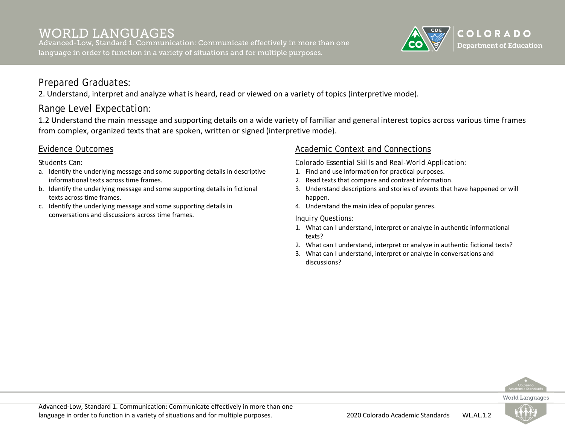Advanced-Low, Standard 1. Communication: Communicate effectively in more than one language in order to function in a variety of situations and for multiple purposes.



# Prepared Graduates:

2. Understand, interpret and analyze what is heard, read or viewed on a variety of topics (interpretive mode).

# Range Level Expectation:

1.2 Understand the main message and supporting details on a wide variety of familiar and general interest topics across various time frames from complex, organized texts that are spoken, written or signed (interpretive mode).

### Evidence Outcomes

*Students Can:*

- a. Identify the underlying message and some supporting details in descriptive informational texts across time frames.
- b. Identify the underlying message and some supporting details in fictional texts across time frames.
- c. Identify the underlying message and some supporting details in conversations and discussions across time frames.

### Academic Context and Connections

*Colorado Essential Skills and Real-World Application:*

- 1. Find and use information for practical purposes.
- 2. Read texts that compare and contrast information.
- 3. Understand descriptions and stories of events that have happened or will happen.
- 4. Understand the main idea of popular genres.

- 1. What can I understand, interpret or analyze in authentic informational texts?
- 2. What can I understand, interpret or analyze in authentic fictional texts?
- 3. What can I understand, interpret or analyze in conversations and discussions?



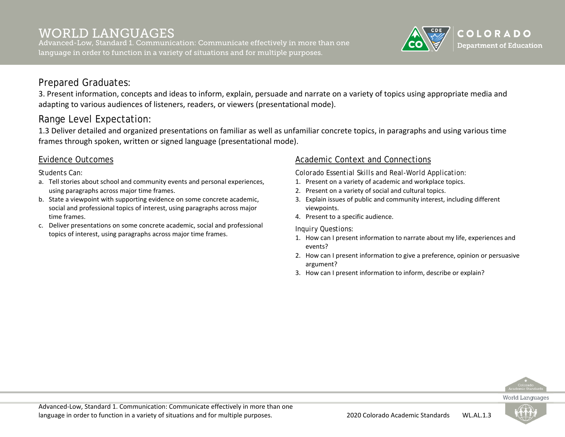Advanced-Low, Standard 1. Communication: Communicate effectively in more than one language in order to function in a variety of situations and for multiple purposes.



# Prepared Graduates:

3. Present information, concepts and ideas to inform, explain, persuade and narrate on a variety of topics using appropriate media and adapting to various audiences of listeners, readers, or viewers (presentational mode).

# Range Level Expectation:

1.3 Deliver detailed and organized presentations on familiar as well as unfamiliar concrete topics, in paragraphs and using various time frames through spoken, written or signed language (presentational mode).

### Evidence Outcomes

*Students Can:*

- a. Tell stories about school and community events and personal experiences, using paragraphs across major time frames.
- b. State a viewpoint with supporting evidence on some concrete academic, social and professional topics of interest, using paragraphs across major time frames.
- c. Deliver presentations on some concrete academic, social and professional topics of interest, using paragraphs across major time frames.

### Academic Context and Connections

*Colorado Essential Skills and Real-World Application:*

- 1. Present on a variety of academic and workplace topics.
- 2. Present on a variety of social and cultural topics.
- 3. Explain issues of public and community interest, including different viewpoints.
- 4. Present to a specific audience.

*Inquiry Questions:*

- 1. How can I present information to narrate about my life, experiences and events?
- 2. How can I present information to give a preference, opinion or persuasive argument?
- 3. How can I present information to inform, describe or explain?



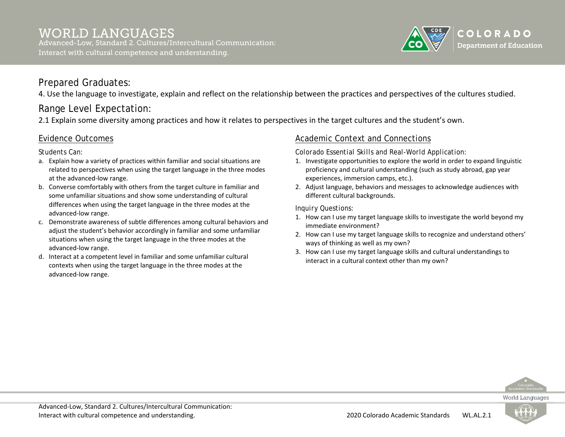

# Prepared Graduates:

4. Use the language to investigate, explain and reflect on the relationship between the practices and perspectives of the cultures studied.

# Range Level Expectation:

2.1 Explain some diversity among practices and how it relates to perspectives in the target cultures and the student's own.

### Evidence Outcomes

*Students Can:*

- a. Explain how a variety of practices within familiar and social situations are related to perspectives when using the target language in the three modes at the advanced-low range.
- b. Converse comfortably with others from the target culture in familiar and some unfamiliar situations and show some understanding of cultural differences when using the target language in the three modes at the advanced-low range.
- c. Demonstrate awareness of subtle differences among cultural behaviors and adjust the student's behavior accordingly in familiar and some unfamiliar situations when using the target language in the three modes at the advanced-low range.
- d. Interact at a competent level in familiar and some unfamiliar cultural contexts when using the target language in the three modes at the advanced-low range.

## Academic Context and Connections

*Colorado Essential Skills and Real-World Application:*

- 1. Investigate opportunities to explore the world in order to expand linguistic proficiency and cultural understanding (such as study abroad, gap year experiences, immersion camps, etc.).
- 2. Adjust language, behaviors and messages to acknowledge audiences with different cultural backgrounds.

*Inquiry Questions:*

- 1. How can I use my target language skills to investigate the world beyond my immediate environment?
- 2. How can I use my target language skills to recognize and understand others' ways of thinking as well as my own?
- 3. How can I use my target language skills and cultural understandings to interact in a cultural context other than my own?



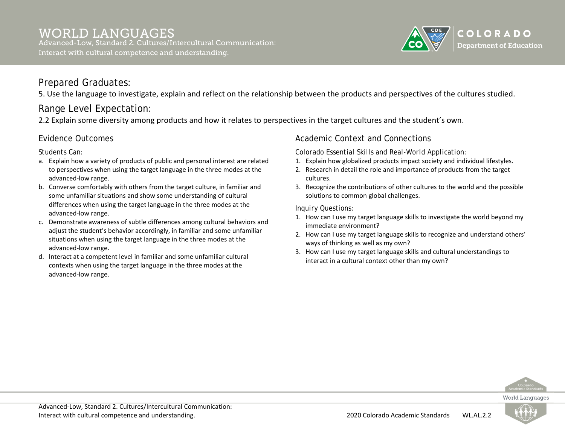#### WORLD LANGUAGES Advanced-Low, Standard 2. Cultures/Intercultural Communication: Interact with cultural competence and understanding.



# Prepared Graduates:

5. Use the language to investigate, explain and reflect on the relationship between the products and perspectives of the cultures studied.

# Range Level Expectation:

2.2 Explain some diversity among products and how it relates to perspectives in the target cultures and the student's own.

### Evidence Outcomes

*Students Can:*

- a. Explain how a variety of products of public and personal interest are related to perspectives when using the target language in the three modes at the advanced-low range.
- b. Converse comfortably with others from the target culture, in familiar and some unfamiliar situations and show some understanding of cultural differences when using the target language in the three modes at the advanced-low range.
- c. Demonstrate awareness of subtle differences among cultural behaviors and adjust the student's behavior accordingly, in familiar and some unfamiliar situations when using the target language in the three modes at the advanced-low range.
- d. Interact at a competent level in familiar and some unfamiliar cultural contexts when using the target language in the three modes at the advanced-low range.

### Academic Context and Connections

*Colorado Essential Skills and Real-World Application:*

- 1. Explain how globalized products impact society and individual lifestyles.
- 2. Research in detail the role and importance of products from the target cultures.
- 3. Recognize the contributions of other cultures to the world and the possible solutions to common global challenges.

- 1. How can I use my target language skills to investigate the world beyond my immediate environment?
- 2. How can I use my target language skills to recognize and understand others' ways of thinking as well as my own?
- 3. How can I use my target language skills and cultural understandings to interact in a cultural context other than my own?



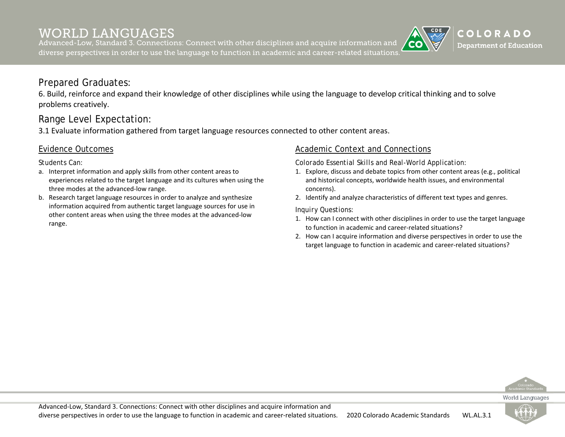Advanced-Low, Standard 3. Connections: Connect with other disciplines and acquire information and diverse perspectives in order to use the language to function in academic and career-related situations.

# Prepared Graduates:

6. Build, reinforce and expand their knowledge of other disciplines while using the language to develop critical thinking and to solve problems creatively.

# Range Level Expectation:

3.1 Evaluate information gathered from target language resources connected to other content areas.

### Evidence Outcomes

*Students Can:*

- a. Interpret information and apply skills from other content areas to experiences related to the target language and its cultures when using the three modes at the advanced-low range.
- b. Research target language resources in order to analyze and synthesize information acquired from authentic target language sources for use in other content areas when using the three modes at the advanced-low range.

### Academic Context and Connections

*Colorado Essential Skills and Real-World Application:*

- 1. Explore, discuss and debate topics from other content areas (e.g., political and historical concepts, worldwide health issues, and environmental concerns).
- 2. Identify and analyze characteristics of different text types and genres.

#### *Inquiry Questions:*

- 1. How can I connect with other disciplines in order to use the target language to function in academic and career-related situations?
- 2. How can I acquire information and diverse perspectives in order to use the target language to function in academic and career-related situations?



COLORADO **Department of Education** 



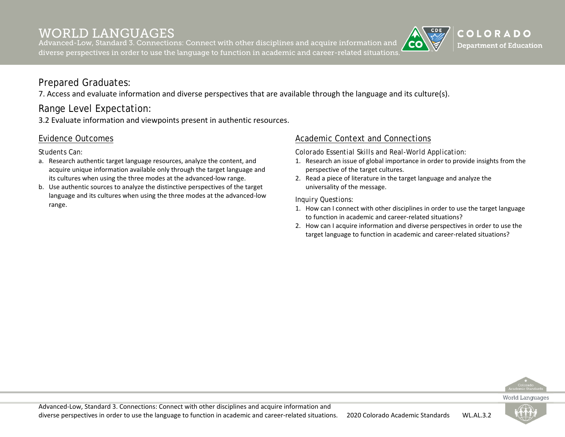Advanced-Low, Standard 3. Connections: Connect with other disciplines and acquire information and diverse perspectives in order to use the language to function in academic and career-related situations.

# Prepared Graduates:

7. Access and evaluate information and diverse perspectives that are available through the language and its culture(s).

# Range Level Expectation:

3.2 Evaluate information and viewpoints present in authentic resources.

### Evidence Outcomes

*Students Can:*

- a. Research authentic target language resources, analyze the content, and acquire unique information available only through the target language and its cultures when using the three modes at the advanced-low range.
- b. Use authentic sources to analyze the distinctive perspectives of the target language and its cultures when using the three modes at the advanced-low range.

### Academic Context and Connections

*Colorado Essential Skills and Real-World Application:*

- 1. Research an issue of global importance in order to provide insights from the perspective of the target cultures.
- 2. Read a piece of literature in the target language and analyze the universality of the message.

*Inquiry Questions:*

- 1. How can I connect with other disciplines in order to use the target language to function in academic and career-related situations?
- 2. How can I acquire information and diverse perspectives in order to use the target language to function in academic and career-related situations?



COLORADO **Department of Education** 

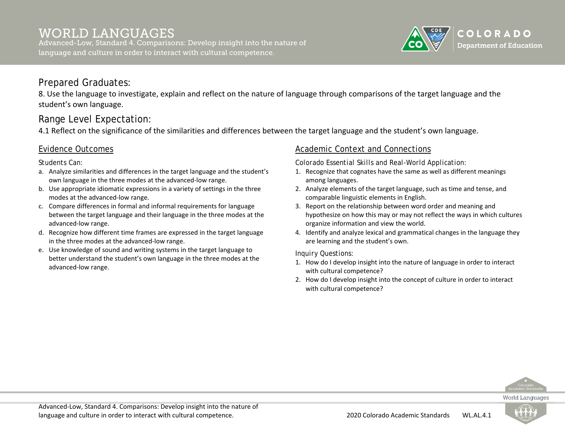# WORLD LANGUAGES

Advanced-Low, Standard 4. Comparisons: Develop insight into the nature of language and culture in order to interact with cultural competence.

# Prepared Graduates:

8. Use the language to investigate, explain and reflect on the nature of language through comparisons of the target language and the student's own language.

# Range Level Expectation:

4.1 Reflect on the significance of the similarities and differences between the target language and the student's own language.

## Evidence Outcomes

*Students Can:*

- a. Analyze similarities and differences in the target language and the student's own language in the three modes at the advanced-low range.
- b. Use appropriate idiomatic expressions in a variety of settings in the three modes at the advanced-low range.
- c. Compare differences in formal and informal requirements for language between the target language and their language in the three modes at the advanced-low range.
- d. Recognize how different time frames are expressed in the target language in the three modes at the advanced-low range.
- e. Use knowledge of sound and writing systems in the target language to better understand the student's own language in the three modes at the advanced-low range.

## Academic Context and Connections

*Colorado Essential Skills and Real-World Application:*

- 1. Recognize that cognates have the same as well as different meanings among languages.
- 2. Analyze elements of the target language, such as time and tense, and comparable linguistic elements in English.
- 3. Report on the relationship between word order and meaning and hypothesize on how this may or may not reflect the ways in which cultures organize information and view the world.
- 4. Identify and analyze lexical and grammatical changes in the language they are learning and the student's own.

### *Inquiry Questions:*

- 1. How do I develop insight into the nature of language in order to interact with cultural competence?
- 2. How do I develop insight into the concept of culture in order to interact with cultural competence?